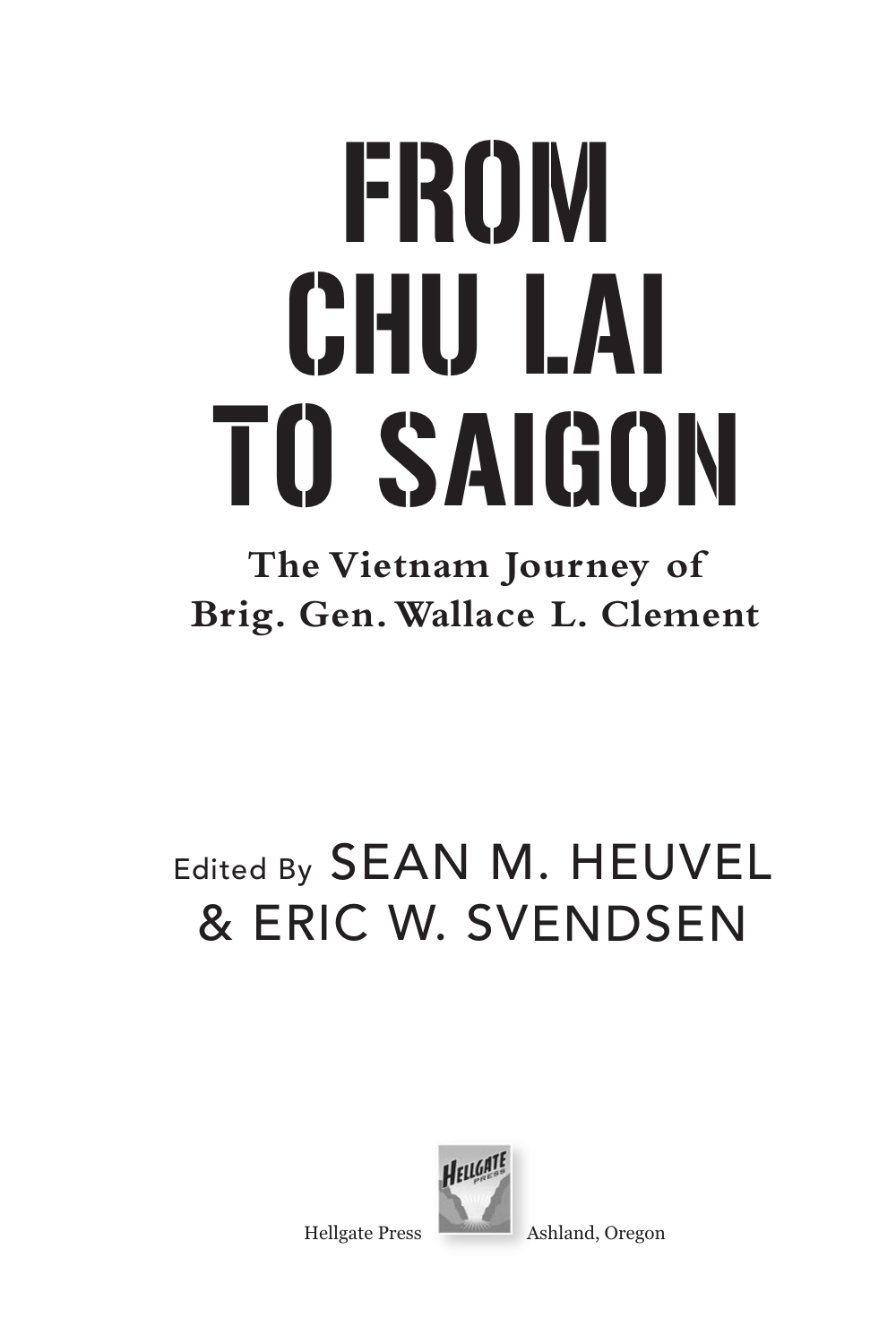# FROM CHU LAI TO SAIGON

### **The Vietnam Journey of Brig. Gen. Wallace L. Clement**

## Edited By SEAN M. HEUVEL & ERIC W. SVENDSEN



Hellgate Press Ashland, Oregon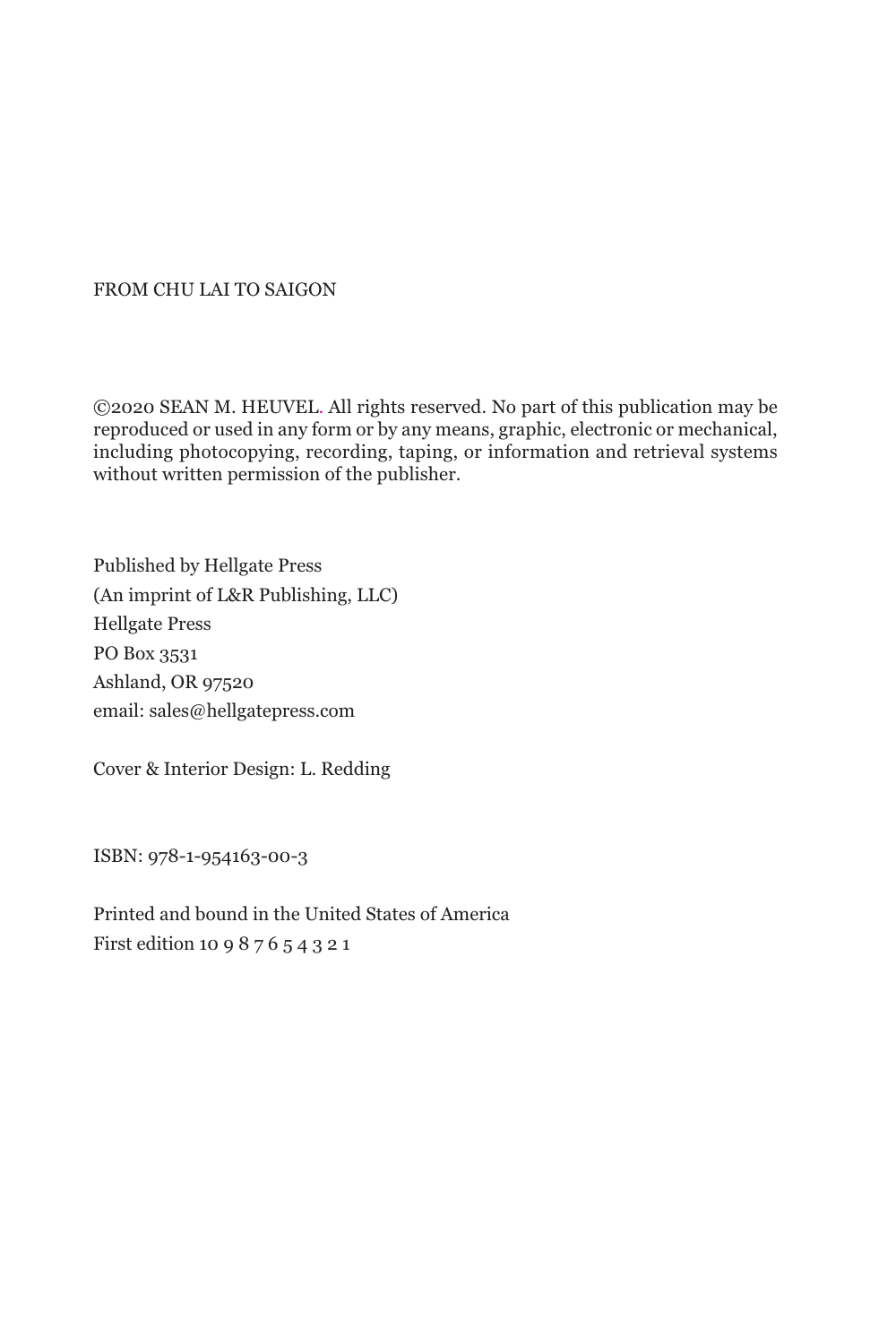#### FROM CHU LAI TO SAIGON

©2020 SEAN M. HEUVEL. All rights reserved. No part of this publication may be reproduced or used in any form or by any means, graphic, electronic or mechanical, including photocopying, recording, taping, or information and retrieval systems without written permission of the publisher.

Published by Hellgate Press (An imprint of L&R Publishing, LLC) Hellgate Press PO Box 3531 Ashland, OR 97520 email: sales@hellgatepress.com

Cover & Interior Design: L. Redding

ISBN: 978-1-954163-00-3

Printed and bound in the United States of America First edition 10 9 8 7 6 5 4 3 2 1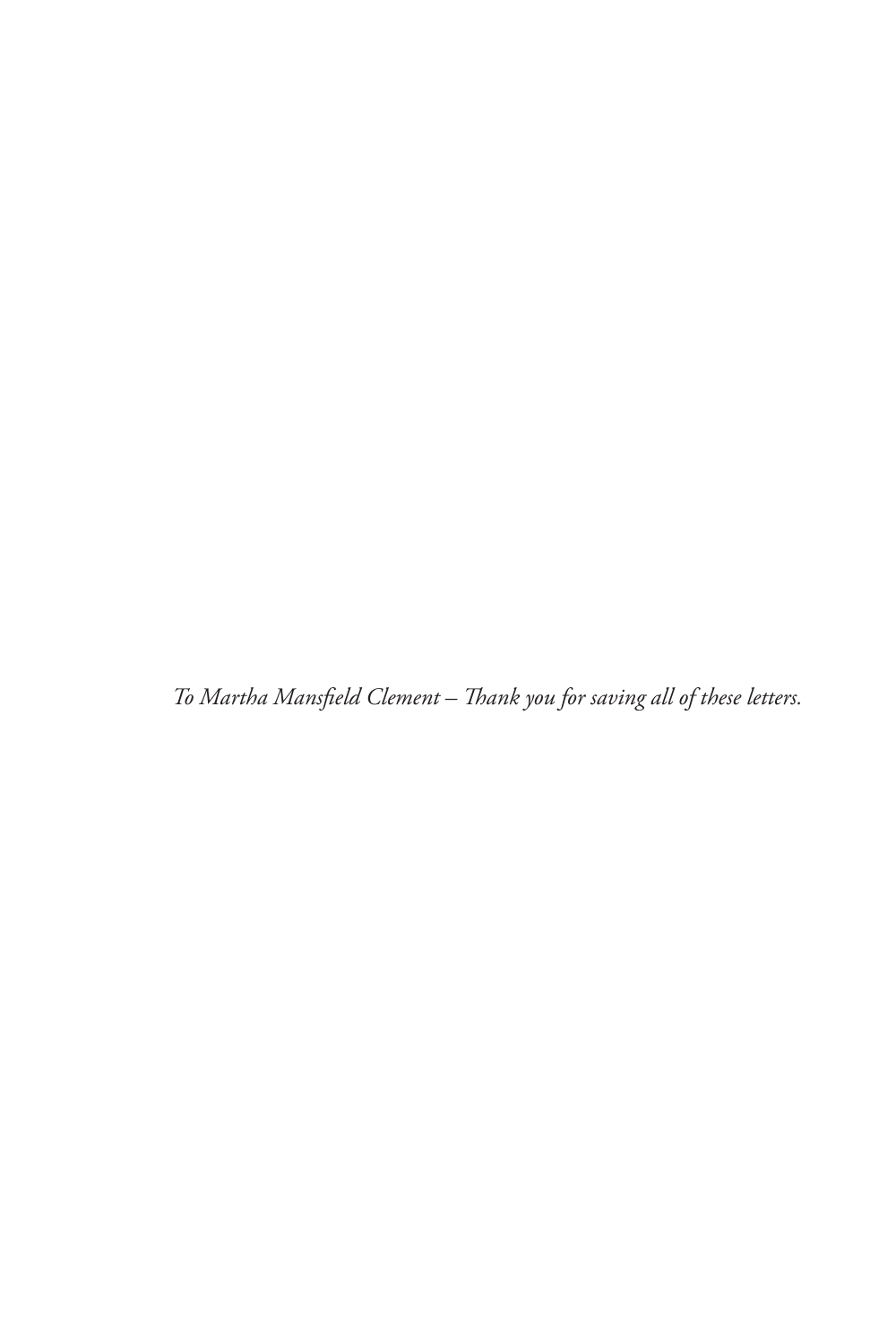*To Martha Mansfield Clement – Thank you for saving all of these letters.*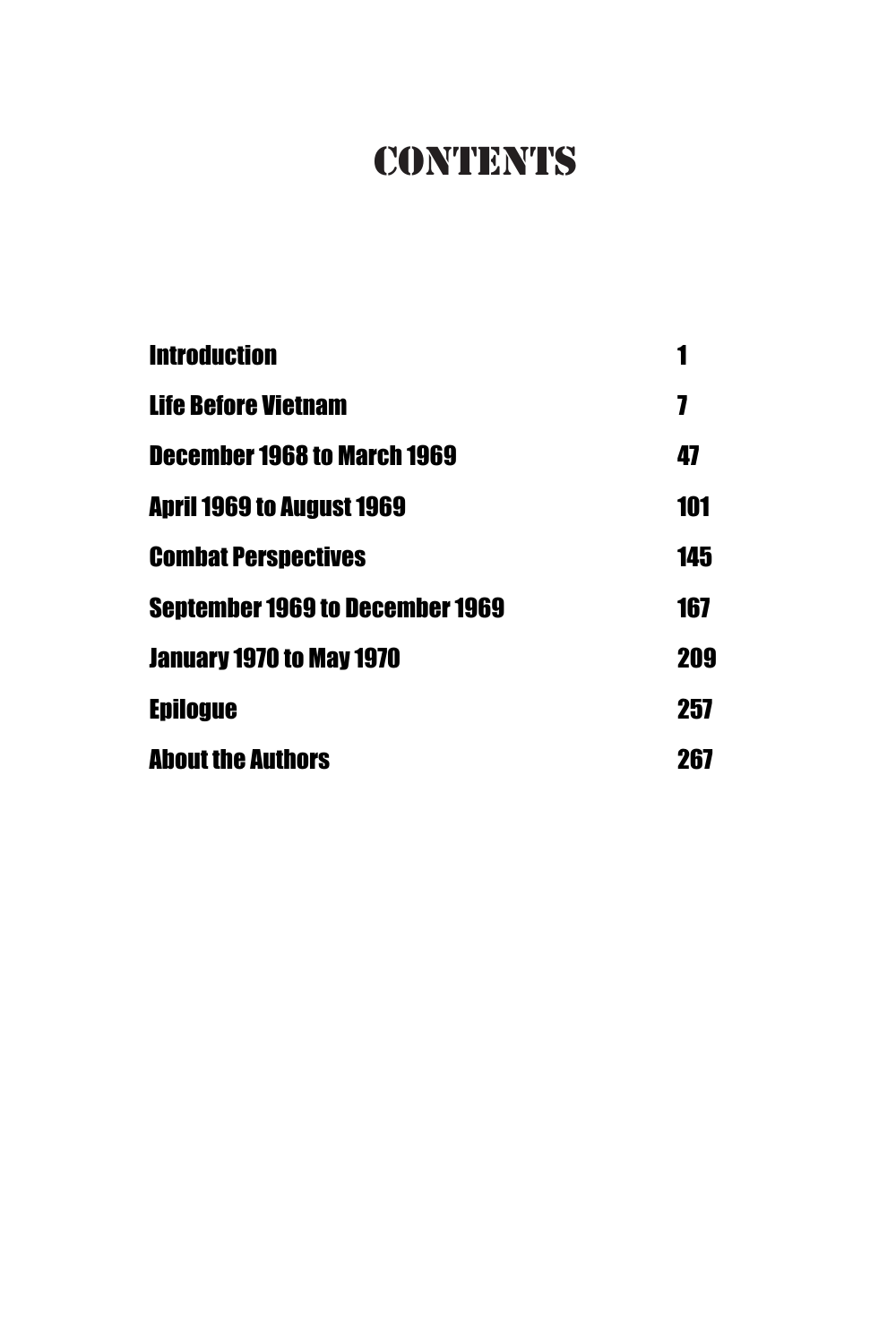## **CONTENTS**

| <b>Introduction</b>                |     |
|------------------------------------|-----|
| <b>Life Before Vietnam</b>         | 7   |
| <b>December 1968 to March 1969</b> | 47  |
| April 1969 to August 1969          | 101 |
| <b>Combat Perspectives</b>         | 145 |
| Sentember 1969 to December 1969    | 167 |
| January 1970 to May 1970           | 209 |
| <b>Epilogue</b>                    | 257 |
| <b>About the Authors</b>           | 267 |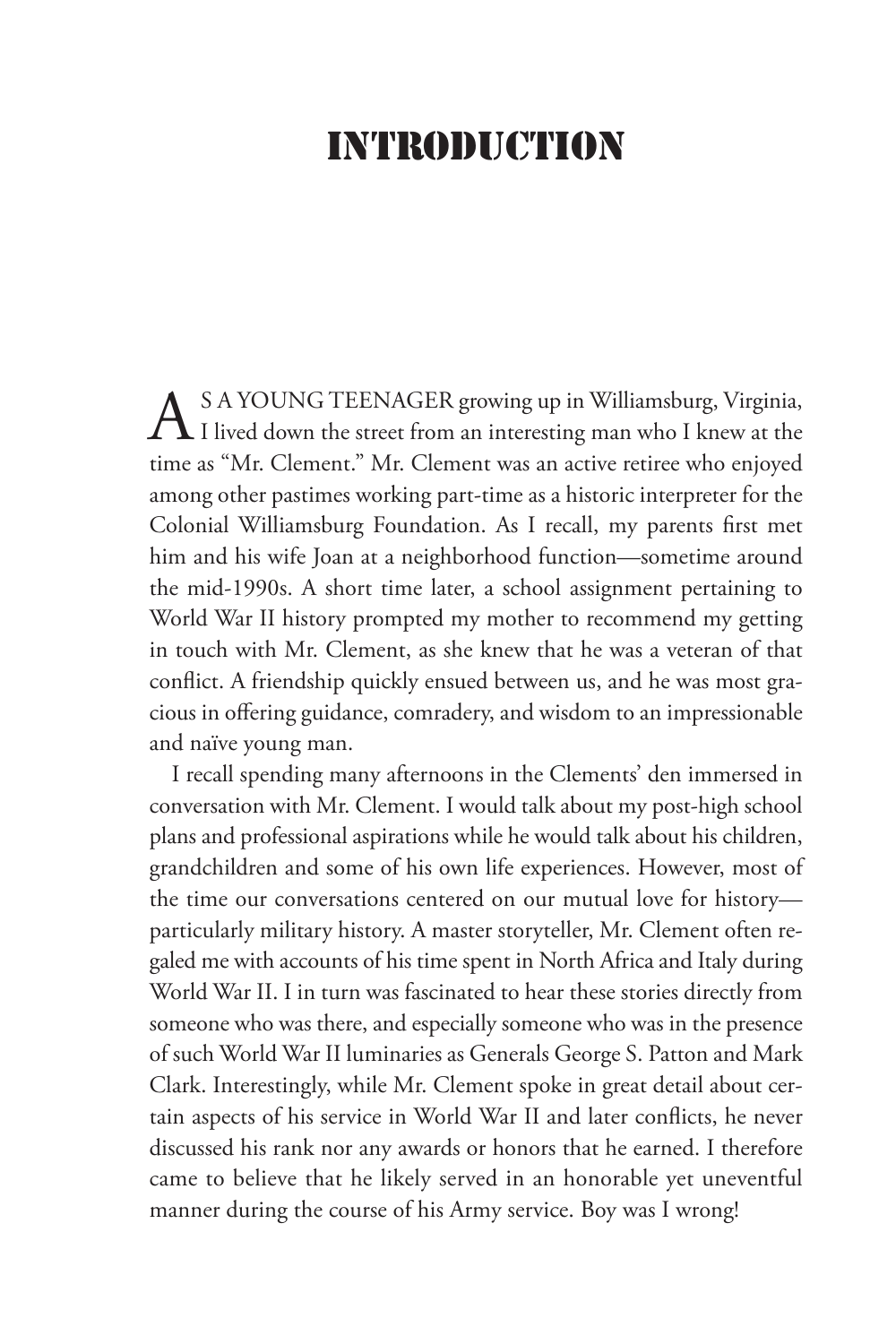#### INTRODUCTION

AS A YOUNG TEENAGER growing up in Williamsburg, Virginia,<br>I lived down the street from an interesting man who I knew at the time as "Mr. Clement." Mr. Clement was an active retiree who enjoyed among other pastimes working part-time as a historic interpreter for the Colonial Williamsburg Foundation. As I recall, my parents first met him and his wife Joan at a neighborhood function—sometime around the mid-1990s. A short time later, a school assignment pertaining to World War II history prompted my mother to recommend my getting in touch with Mr. Clement, as she knew that he was a veteran of that conflict. A friendship quickly ensued between us, and he was most gracious in offering guidance, comradery, and wisdom to an impressionable and naïve young man.

I recall spending many afternoons in the Clements' den immersed in conversation with Mr. Clement. I would talk about my post-high school plans and professional aspirations while he would talk about his children, grandchildren and some of his own life experiences. However, most of the time our conversations centered on our mutual love for history particularly military history. A master storyteller, Mr. Clement often regaled me with accounts of his time spent in North Africa and Italy during World War II. I in turn was fascinated to hear these stories directly from someone who was there, and especially someone who was in the presence of such World War II luminaries as Generals George S. Patton and Mark Clark. Interestingly, while Mr. Clement spoke in great detail about certain aspects of his service in World War II and later conflicts, he never discussed his rank nor any awards or honors that he earned. I therefore came to believe that he likely served in an honorable yet uneventful manner during the course of his Army service. Boy was I wrong!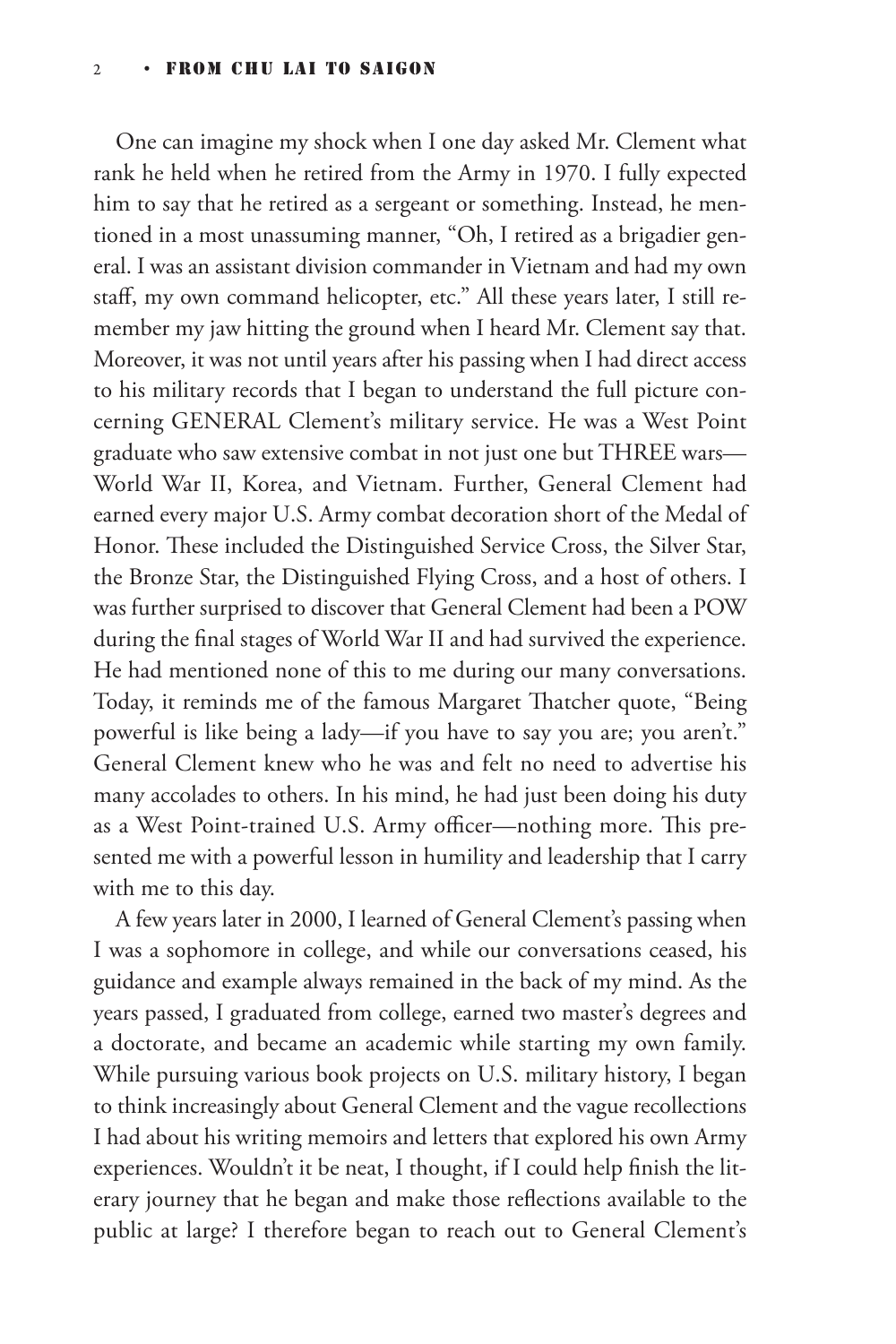One can imagine my shock when I one day asked Mr. Clement what rank he held when he retired from the Army in 1970. I fully expected him to say that he retired as a sergeant or something. Instead, he mentioned in a most unassuming manner, "Oh, I retired as a brigadier general. I was an assistant division commander in Vietnam and had my own staff, my own command helicopter, etc." All these years later, I still remember my jaw hitting the ground when I heard Mr. Clement say that. Moreover, it was not until years after his passing when I had direct access to his military records that I began to understand the full picture concerning GENERAL Clement's military service. He was a West Point graduate who saw extensive combat in not just one but THREE wars— World War II, Korea, and Vietnam. Further, General Clement had earned every major U.S. Army combat decoration short of the Medal of Honor. These included the Distinguished Service Cross, the Silver Star, the Bronze Star, the Distinguished Flying Cross, and a host of others. I was further surprised to discover that General Clement had been a POW during the final stages of World War II and had survived the experience. He had mentioned none of this to me during our many conversations. Today, it reminds me of the famous Margaret Thatcher quote, "Being powerful is like being a lady—if you have to say you are; you aren't." General Clement knew who he was and felt no need to advertise his many accolades to others. In his mind, he had just been doing his duty as a West Point-trained U.S. Army officer—nothing more. This presented me with a powerful lesson in humility and leadership that I carry with me to this day.

A few years later in 2000, I learned of General Clement's passing when I was a sophomore in college, and while our conversations ceased, his guidance and example always remained in the back of my mind. As the years passed, I graduated from college, earned two master's degrees and a doctorate, and became an academic while starting my own family. While pursuing various book projects on U.S. military history, I began to think increasingly about General Clement and the vague recollections I had about his writing memoirs and letters that explored his own Army experiences. Wouldn't it be neat, I thought, if I could help finish the literary journey that he began and make those reflections available to the public at large? I therefore began to reach out to General Clement's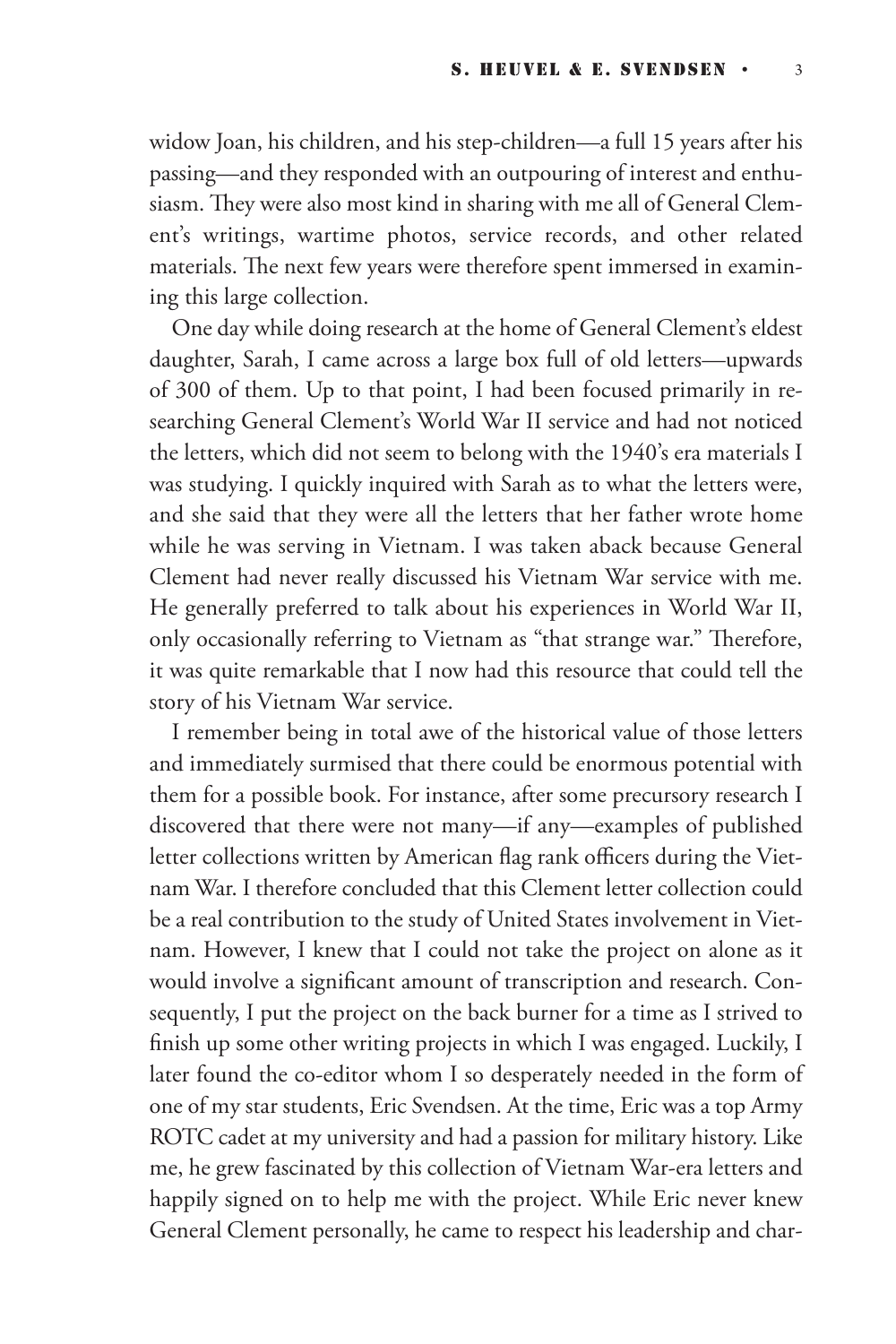widow Joan, his children, and his step-children—a full 15 years after his passing—and they responded with an outpouring of interest and enthusiasm. They were also most kind in sharing with me all of General Clement's writings, wartime photos, service records, and other related materials. The next few years were therefore spent immersed in examining this large collection.

One day while doing research at the home of General Clement's eldest daughter, Sarah, I came across a large box full of old letters—upwards of 300 of them. Up to that point, I had been focused primarily in researching General Clement's World War II service and had not noticed the letters, which did not seem to belong with the 1940's era materials I was studying. I quickly inquired with Sarah as to what the letters were, and she said that they were all the letters that her father wrote home while he was serving in Vietnam. I was taken aback because General Clement had never really discussed his Vietnam War service with me. He generally preferred to talk about his experiences in World War II, only occasionally referring to Vietnam as "that strange war." Therefore, it was quite remarkable that I now had this resource that could tell the story of his Vietnam War service.

I remember being in total awe of the historical value of those letters and immediately surmised that there could be enormous potential with them for a possible book. For instance, after some precursory research I discovered that there were not many—if any—examples of published letter collections written by American flag rank officers during the Vietnam War. I therefore concluded that this Clement letter collection could be a real contribution to the study of United States involvement in Vietnam. However, I knew that I could not take the project on alone as it would involve a significant amount of transcription and research. Consequently, I put the project on the back burner for a time as I strived to finish up some other writing projects in which I was engaged. Luckily, I later found the co-editor whom I so desperately needed in the form of one of my star students, Eric Svendsen. At the time, Eric was a top Army ROTC cadet at my university and had a passion for military history. Like me, he grew fascinated by this collection of Vietnam War-era letters and happily signed on to help me with the project. While Eric never knew General Clement personally, he came to respect his leadership and char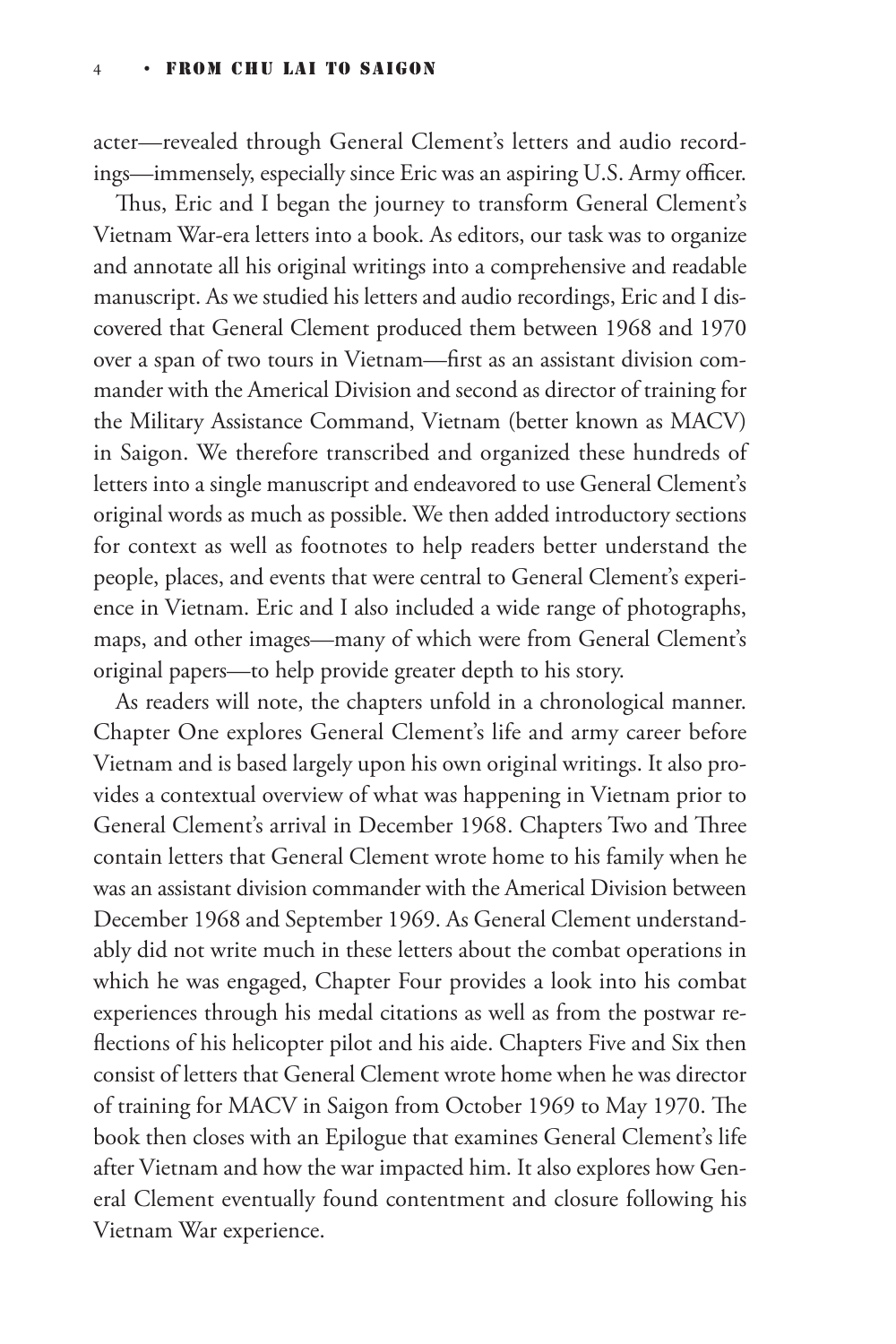acter—revealed through General Clement's letters and audio recordings—immensely, especially since Eric was an aspiring U.S. Army officer.

Thus, Eric and I began the journey to transform General Clement's Vietnam War-era letters into a book. As editors, our task was to organize and annotate all his original writings into a comprehensive and readable manuscript. As we studied his letters and audio recordings, Eric and I discovered that General Clement produced them between 1968 and 1970 over a span of two tours in Vietnam—first as an assistant division commander with the Americal Division and second as director of training for the Military Assistance Command, Vietnam (better known as MACV) in Saigon. We therefore transcribed and organized these hundreds of letters into a single manuscript and endeavored to use General Clement's original words as much as possible. We then added introductory sections for context as well as footnotes to help readers better understand the people, places, and events that were central to General Clement's experience in Vietnam. Eric and I also included a wide range of photographs, maps, and other images—many of which were from General Clement's original papers—to help provide greater depth to his story.

As readers will note, the chapters unfold in a chronological manner. Chapter One explores General Clement's life and army career before Vietnam and is based largely upon his own original writings. It also provides a contextual overview of what was happening in Vietnam prior to General Clement's arrival in December 1968. Chapters Two and Three contain letters that General Clement wrote home to his family when he was an assistant division commander with the Americal Division between December 1968 and September 1969. As General Clement understandably did not write much in these letters about the combat operations in which he was engaged, Chapter Four provides a look into his combat experiences through his medal citations as well as from the postwar reflections of his helicopter pilot and his aide. Chapters Five and Six then consist of letters that General Clement wrote home when he was director of training for MACV in Saigon from October 1969 to May 1970. The book then closes with an Epilogue that examines General Clement's life after Vietnam and how the war impacted him. It also explores how General Clement eventually found contentment and closure following his Vietnam War experience.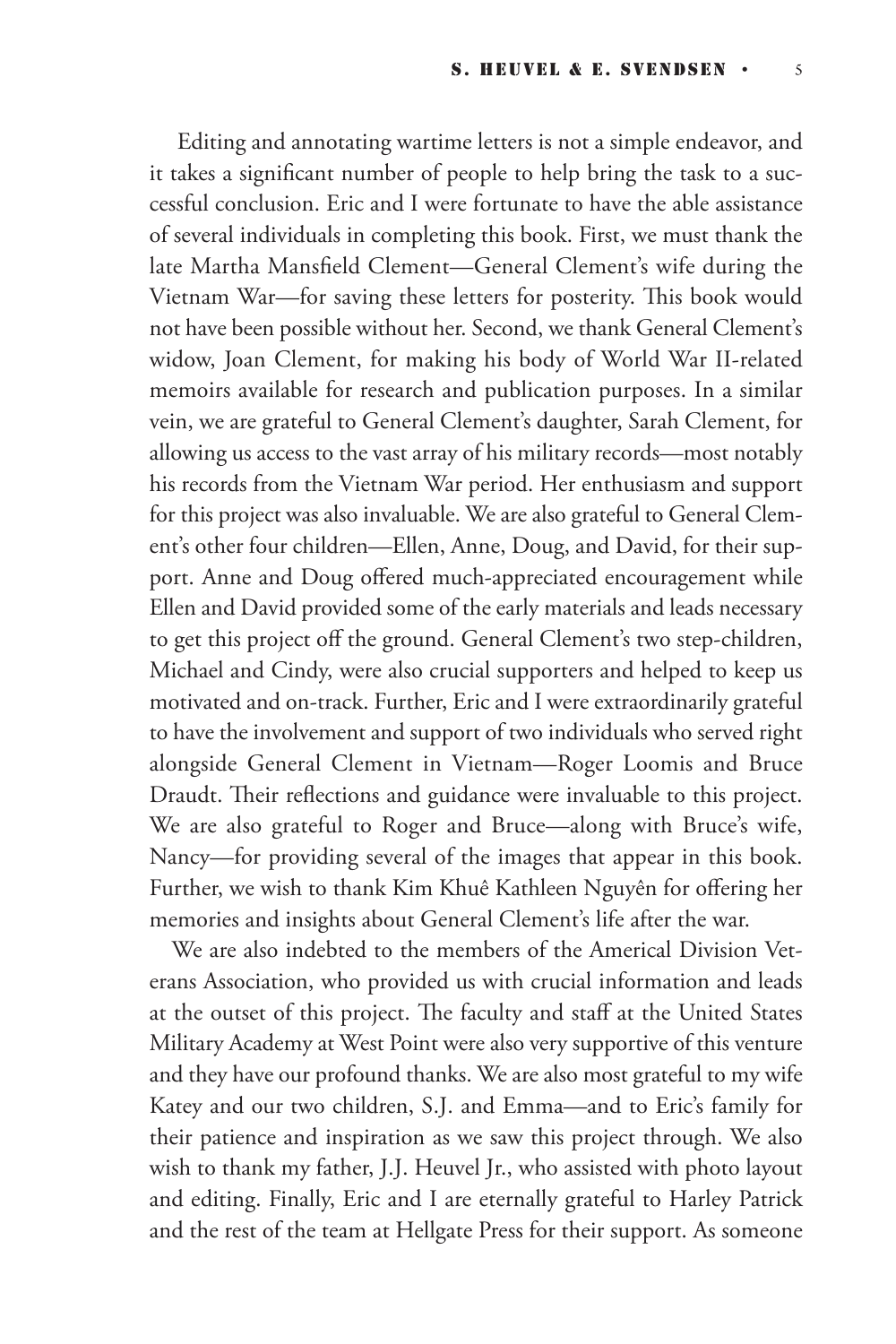Editing and annotating wartime letters is not a simple endeavor, and it takes a significant number of people to help bring the task to a successful conclusion. Eric and I were fortunate to have the able assistance of several individuals in completing this book. First, we must thank the late Martha Mansfield Clement—General Clement's wife during the Vietnam War—for saving these letters for posterity. This book would not have been possible without her. Second, we thank General Clement's widow, Joan Clement, for making his body of World War II-related memoirs available for research and publication purposes. In a similar vein, we are grateful to General Clement's daughter, Sarah Clement, for allowing us access to the vast array of his military records—most notably his records from the Vietnam War period. Her enthusiasm and support for this project was also invaluable. We are also grateful to General Clement's other four children—Ellen, Anne, Doug, and David, for their support. Anne and Doug offered much-appreciated encouragement while Ellen and David provided some of the early materials and leads necessary to get this project off the ground. General Clement's two step-children, Michael and Cindy, were also crucial supporters and helped to keep us motivated and on-track. Further, Eric and I were extraordinarily grateful to have the involvement and support of two individuals who served right alongside General Clement in Vietnam—Roger Loomis and Bruce Draudt. Their reflections and guidance were invaluable to this project. We are also grateful to Roger and Bruce—along with Bruce's wife, Nancy—for providing several of the images that appear in this book. Further, we wish to thank Kim Khuê Kathleen Nguyên for offering her memories and insights about General Clement's life after the war.

We are also indebted to the members of the Americal Division Veterans Association, who provided us with crucial information and leads at the outset of this project. The faculty and staff at the United States Military Academy at West Point were also very supportive of this venture and they have our profound thanks. We are also most grateful to my wife Katey and our two children, S.J. and Emma—and to Eric's family for their patience and inspiration as we saw this project through. We also wish to thank my father, J.J. Heuvel Jr., who assisted with photo layout and editing. Finally, Eric and I are eternally grateful to Harley Patrick and the rest of the team at Hellgate Press for their support. As someone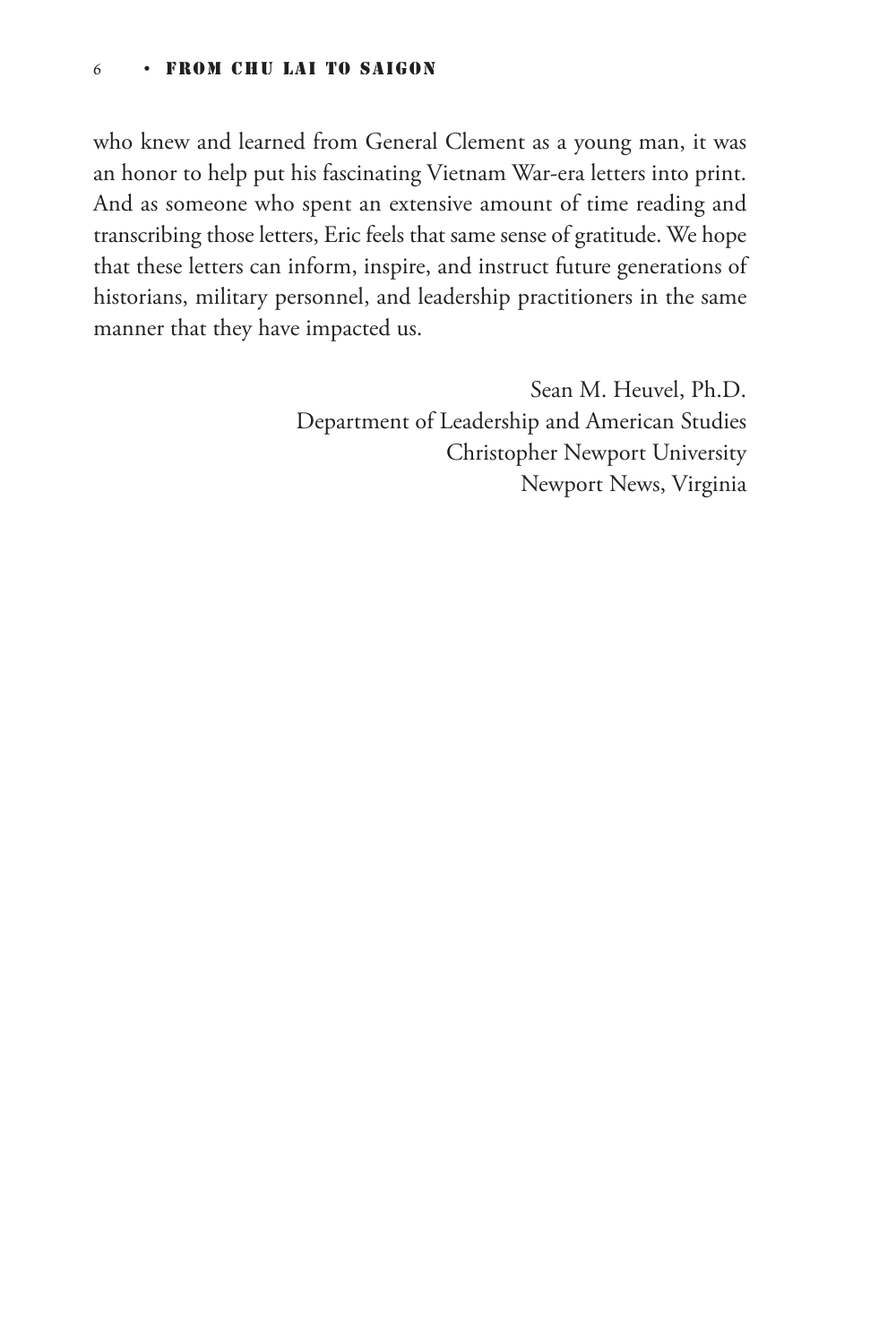#### 6 • FROM CHU LAI TO SAIGON

who knew and learned from General Clement as a young man, it was an honor to help put his fascinating Vietnam War-era letters into print. And as someone who spent an extensive amount of time reading and transcribing those letters, Eric feels that same sense of gratitude. We hope that these letters can inform, inspire, and instruct future generations of historians, military personnel, and leadership practitioners in the same manner that they have impacted us.

> Sean M. Heuvel, Ph.D. Department of Leadership and American Studies Christopher Newport University Newport News, Virginia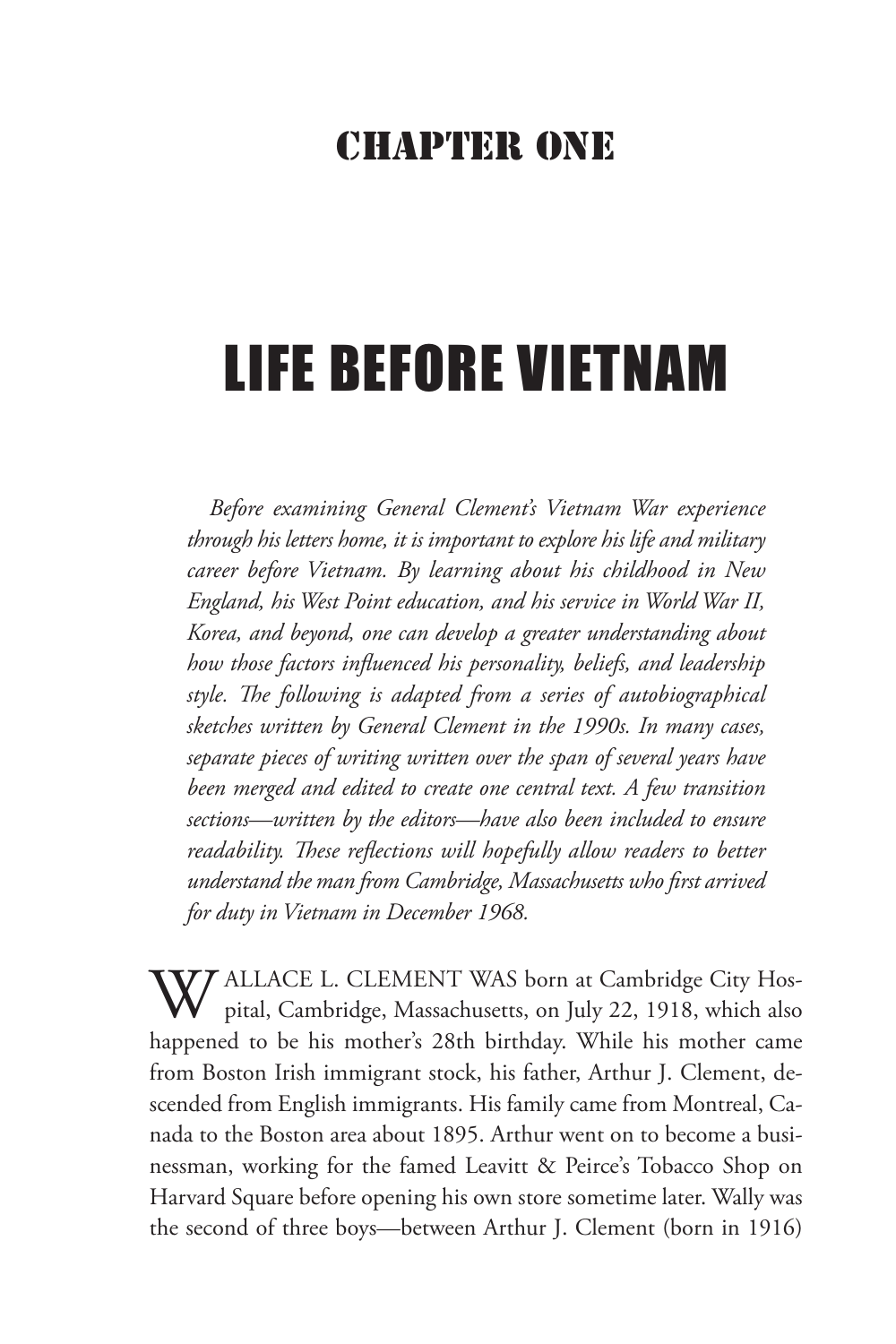#### CHAPTER ONE

# LIFE BEFORE VIETNAM

*Before examining General Clement's Vietnam War experience through his letters home, it is important to explore his life and military career before Vietnam. By learning about his childhood in New England, his West Point education, and his service in World War II, Korea, and beyond, one can develop a greater understanding about how those factors influenced his personality, beliefs, and leadership style. The following is adapted from a series of autobiographical sketches written by General Clement in the 1990s. In many cases, separate pieces of writing written over the span of several years have been merged and edited to create one central text. A few transition sections—written by the editors—have also been included to ensure readability. These reflections will hopefully allow readers to better understand the man from Cambridge, Massachusetts who first arrived for duty in Vietnam in December 1968.*

**7 ALLACE L. CLEMENT WAS born at Cambridge City Hos**pital, Cambridge, Massachusetts, on July 22, 1918, which also happened to be his mother's 28th birthday. While his mother came from Boston Irish immigrant stock, his father, Arthur J. Clement, descended from English immigrants. His family came from Montreal, Canada to the Boston area about 1895. Arthur went on to become a businessman, working for the famed Leavitt & Peirce's Tobacco Shop on Harvard Square before opening his own store sometime later. Wally was the second of three boys—between Arthur J. Clement (born in 1916)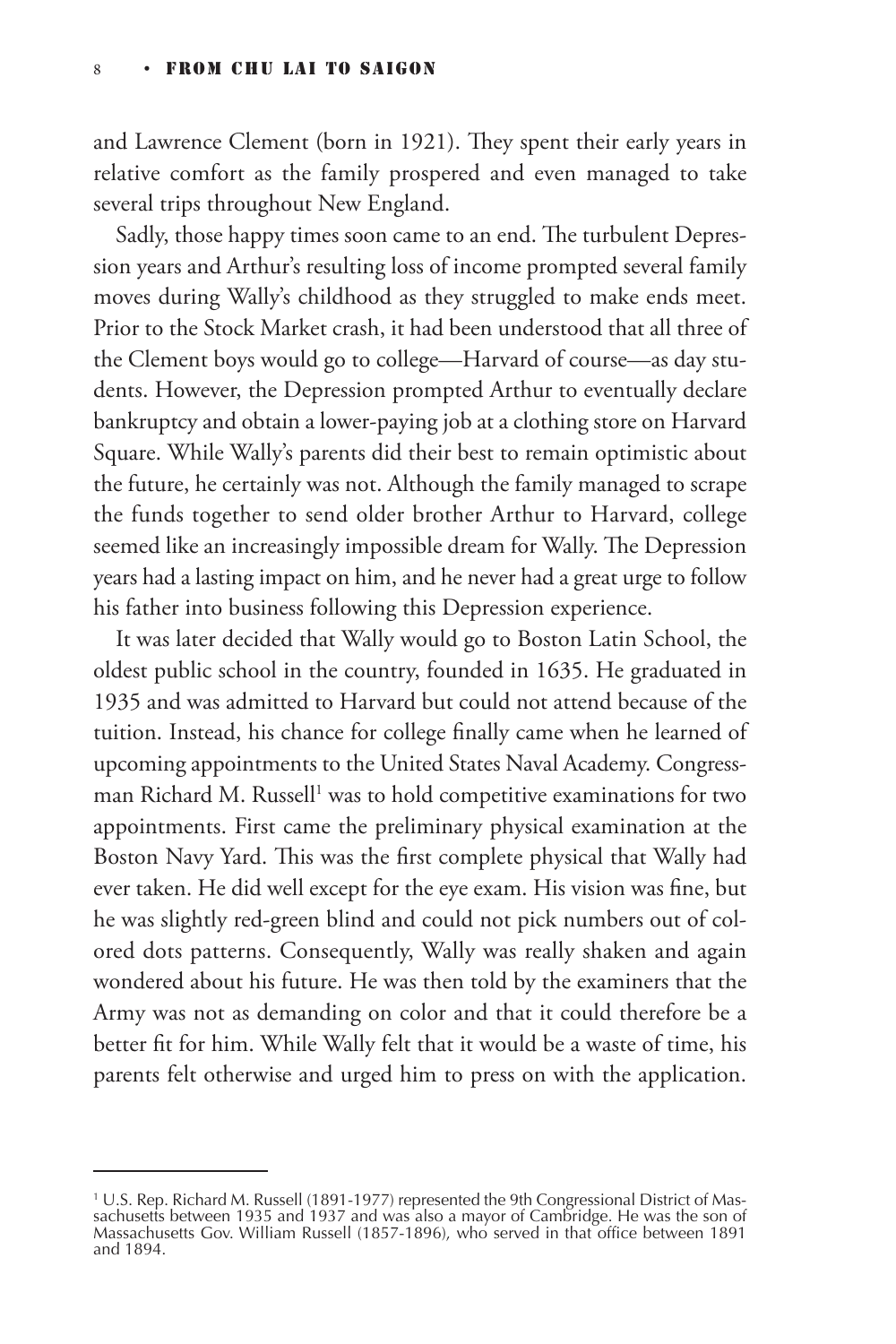and Lawrence Clement (born in 1921). They spent their early years in relative comfort as the family prospered and even managed to take several trips throughout New England.

Sadly, those happy times soon came to an end. The turbulent Depression years and Arthur's resulting loss of income prompted several family moves during Wally's childhood as they struggled to make ends meet. Prior to the Stock Market crash, it had been understood that all three of the Clement boys would go to college—Harvard of course—as day students. However, the Depression prompted Arthur to eventually declare bankruptcy and obtain a lower-paying job at a clothing store on Harvard Square. While Wally's parents did their best to remain optimistic about the future, he certainly was not. Although the family managed to scrape the funds together to send older brother Arthur to Harvard, college seemed like an increasingly impossible dream for Wally. The Depression years had a lasting impact on him, and he never had a great urge to follow his father into business following this Depression experience.

It was later decided that Wally would go to Boston Latin School, the oldest public school in the country, founded in 1635. He graduated in 1935 and was admitted to Harvard but could not attend because of the tuition. Instead, his chance for college finally came when he learned of upcoming appointments to the United States Naval Academy. Congressman Richard M. Russell $^1$  was to hold competitive examinations for two appointments. First came the preliminary physical examination at the Boston Navy Yard. This was the first complete physical that Wally had ever taken. He did well except for the eye exam. His vision was fine, but he was slightly red-green blind and could not pick numbers out of colored dots patterns. Consequently, Wally was really shaken and again wondered about his future. He was then told by the examiners that the Army was not as demanding on color and that it could therefore be a better fit for him. While Wally felt that it would be a waste of time, his parents felt otherwise and urged him to press on with the application.

<sup>1</sup> U.S. Rep. Richard M. Russell (1891-1977) represented the 9th Congressional District of Massachusetts between 1935 and 1937 and was also a mayor of Cambridge. He was the son of Massachusetts Gov. William Russell (1857-1896), who served in that office between 1891 and 1894.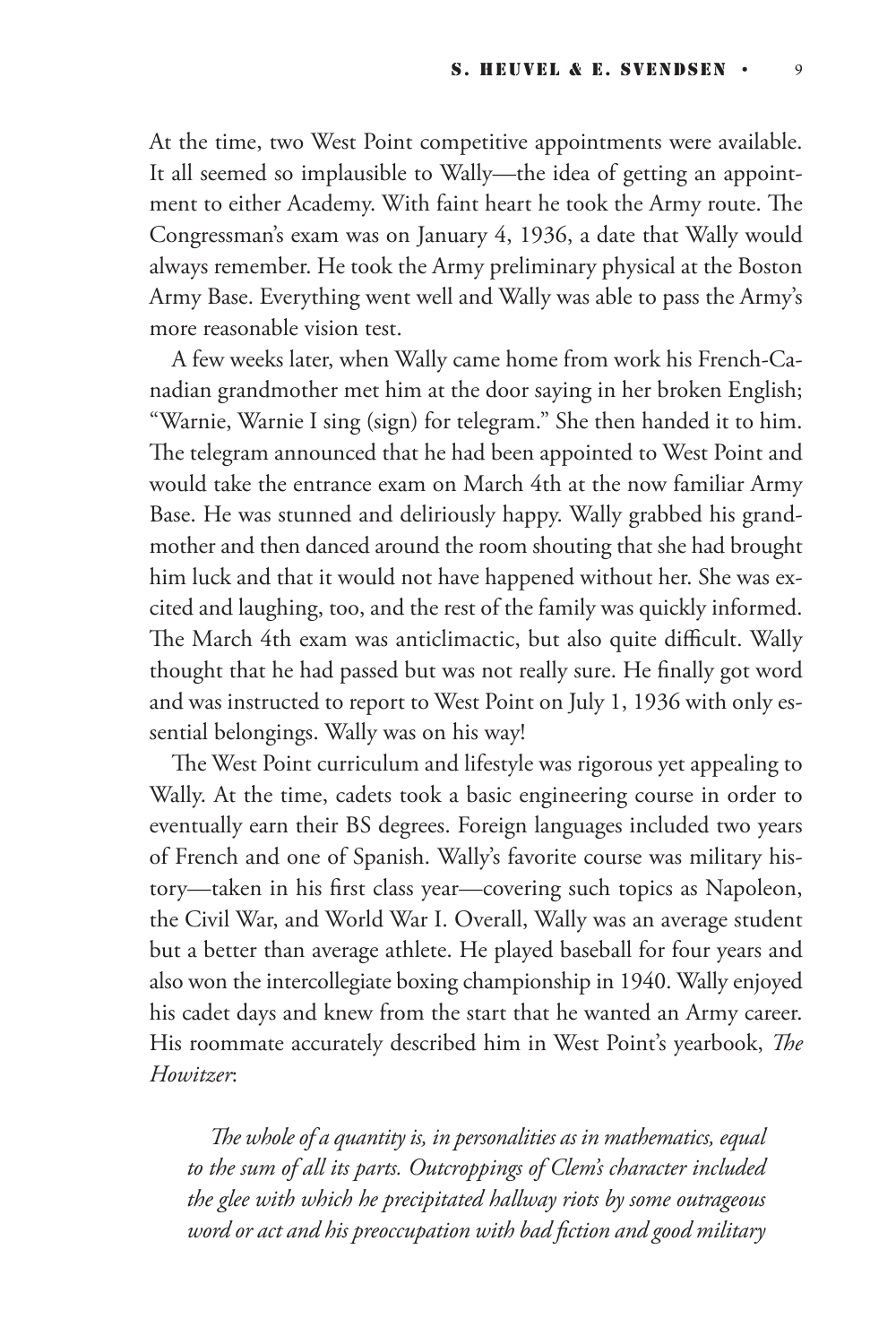At the time, two West Point competitive appointments were available. It all seemed so implausible to Wally—the idea of getting an appointment to either Academy. With faint heart he took the Army route. The Congressman's exam was on January 4, 1936, a date that Wally would always remember. He took the Army preliminary physical at the Boston Army Base. Everything went well and Wally was able to pass the Army's more reasonable vision test.

A few weeks later, when Wally came home from work his French-Canadian grandmother met him at the door saying in her broken English; "Warnie, Warnie I sing (sign) for telegram." She then handed it to him. The telegram announced that he had been appointed to West Point and would take the entrance exam on March 4th at the now familiar Army Base. He was stunned and deliriously happy. Wally grabbed his grandmother and then danced around the room shouting that she had brought him luck and that it would not have happened without her. She was excited and laughing, too, and the rest of the family was quickly informed. The March 4th exam was anticlimactic, but also quite difficult. Wally thought that he had passed but was not really sure. He finally got word and was instructed to report to West Point on July 1, 1936 with only essential belongings. Wally was on his way!

The West Point curriculum and lifestyle was rigorous yet appealing to Wally. At the time, cadets took a basic engineering course in order to eventually earn their BS degrees. Foreign languages included two years of French and one of Spanish. Wally's favorite course was military history—taken in his first class year—covering such topics as Napoleon, the Civil War, and World War I. Overall, Wally was an average student but a better than average athlete. He played baseball for four years and also won the intercollegiate boxing championship in 1940. Wally enjoyed his cadet days and knew from the start that he wanted an Army career. His roommate accurately described him in West Point's yearbook, *The Howitzer*:

*The whole of a quantity is, in personalities as in mathematics, equal to the sum of all its parts. Outcroppings of Clem's character included the glee with which he precipitated hallway riots by some outrageous word or act and his preoccupation with bad fiction and good military*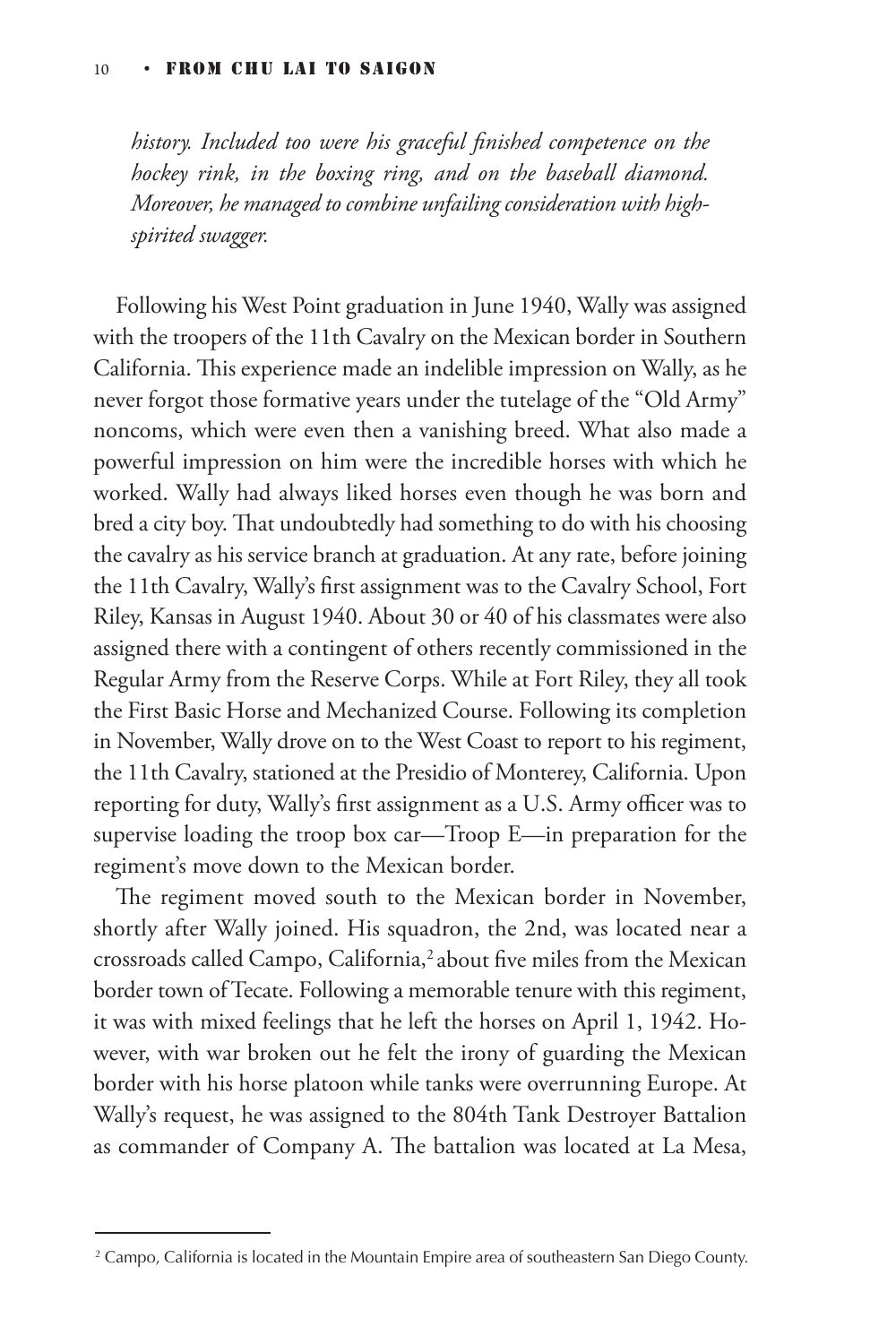*history. Included too were his graceful finished competence on the hockey rink, in the boxing ring, and on the baseball diamond. Moreover, he managed to combine unfailing consideration with highspirited swagger.*

Following his West Point graduation in June 1940, Wally was assigned with the troopers of the 11th Cavalry on the Mexican border in Southern California. This experience made an indelible impression on Wally, as he never forgot those formative years under the tutelage of the "Old Army" noncoms, which were even then a vanishing breed. What also made a powerful impression on him were the incredible horses with which he worked. Wally had always liked horses even though he was born and bred a city boy. That undoubtedly had something to do with his choosing the cavalry as his service branch at graduation. At any rate, before joining the 11th Cavalry, Wally's first assignment was to the Cavalry School, Fort Riley, Kansas in August 1940. About 30 or 40 of his classmates were also assigned there with a contingent of others recently commissioned in the Regular Army from the Reserve Corps. While at Fort Riley, they all took the First Basic Horse and Mechanized Course. Following its completion in November, Wally drove on to the West Coast to report to his regiment, the 11th Cavalry, stationed at the Presidio of Monterey, California. Upon reporting for duty, Wally's first assignment as a U.S. Army officer was to supervise loading the troop box car—Troop E—in preparation for the regiment's move down to the Mexican border.

The regiment moved south to the Mexican border in November, shortly after Wally joined. His squadron, the 2nd, was located near a crossroads called Campo, California,<sup>2</sup> about five miles from the Mexican border town of Tecate. Following a memorable tenure with this regiment, it was with mixed feelings that he left the horses on April 1, 1942. However, with war broken out he felt the irony of guarding the Mexican border with his horse platoon while tanks were overrunning Europe. At Wally's request, he was assigned to the 804th Tank Destroyer Battalion as commander of Company A. The battalion was located at La Mesa,

<sup>2</sup> Campo, California is located in the Mountain Empire area of southeastern San Diego County.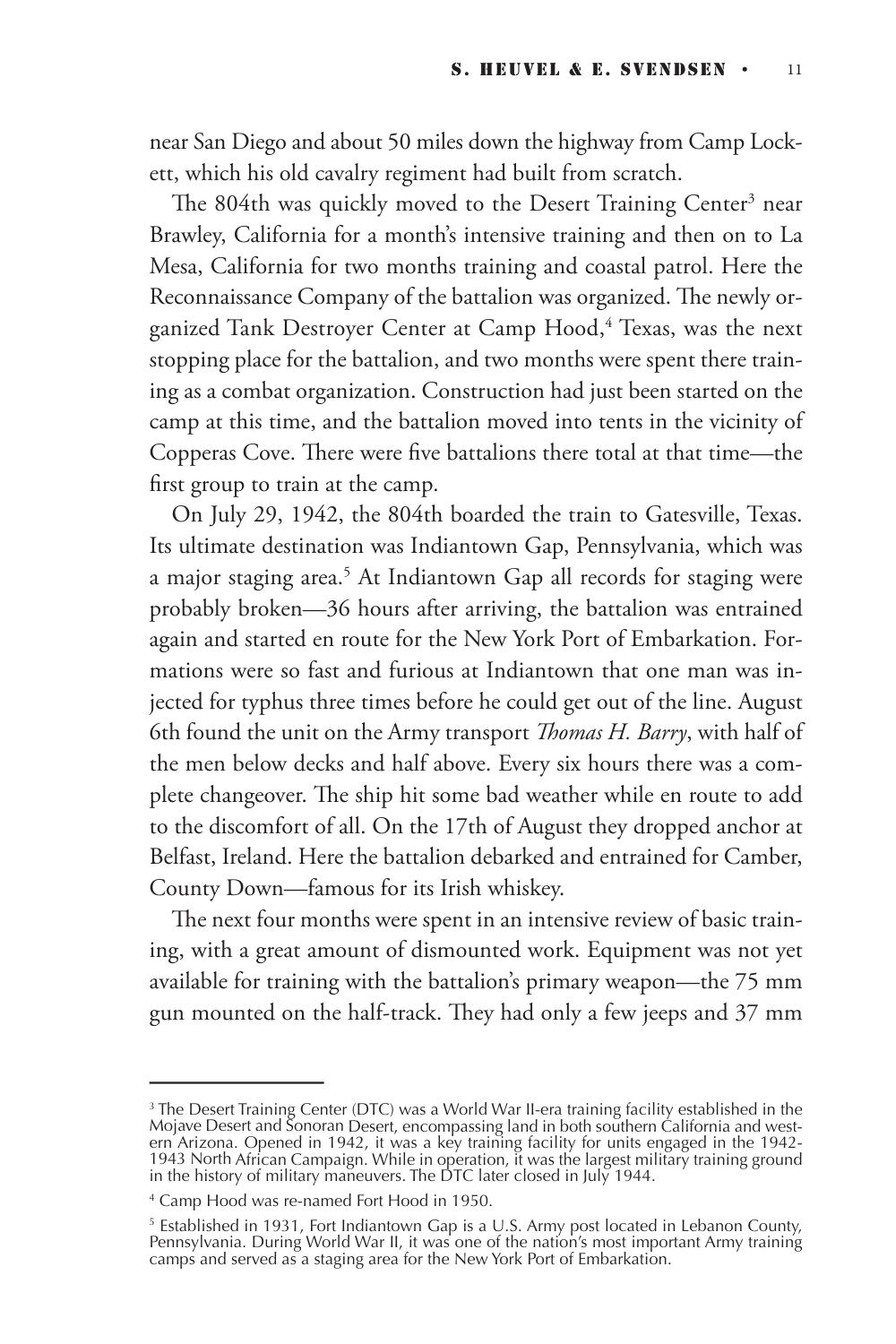near San Diego and about 50 miles down the highway from Camp Lockett, which his old cavalry regiment had built from scratch.

The 804th was quickly moved to the Desert Training Center $^3$  near Brawley, California for a month's intensive training and then on to La Mesa, California for two months training and coastal patrol. Here the Reconnaissance Company of the battalion was organized. The newly organized Tank Destroyer Center at Camp Hood,<sup>4</sup> Texas, was the next stopping place for the battalion, and two months were spent there training as a combat organization. Construction had just been started on the camp at this time, and the battalion moved into tents in the vicinity of Copperas Cove. There were five battalions there total at that time—the first group to train at the camp.

On July 29, 1942, the 804th boarded the train to Gatesville, Texas. Its ultimate destination was Indiantown Gap, Pennsylvania, which was a major staging area.<sup>5</sup> At Indiantown Gap all records for staging were probably broken—36 hours after arriving, the battalion was entrained again and started en route for the New York Port of Embarkation. Formations were so fast and furious at Indiantown that one man was injected for typhus three times before he could get out of the line. August 6th found the unit on the Army transport *Thomas H. Barry*, with half of the men below decks and half above. Every six hours there was a complete changeover. The ship hit some bad weather while en route to add to the discomfort of all. On the 17th of August they dropped anchor at Belfast, Ireland. Here the battalion debarked and entrained for Camber, County Down—famous for its Irish whiskey.

The next four months were spent in an intensive review of basic training, with a great amount of dismounted work. Equipment was not yet available for training with the battalion's primary weapon—the 75 mm gun mounted on the half-track. They had only a few jeeps and 37 mm

<sup>&</sup>lt;sup>3</sup> The Desert Training Center (DTC) was a World War II-era training facility established in the<br>Mojave Desert and Sonoran Desert, encompassing land in both southern California and western Arizona. Opened in 1942, it was a key training facility for units engaged in the 1942-<br>1943 North African Campaign. While in operation, it was the largest military training ground<br>in the history of military maneuvers.

<sup>4</sup> Camp Hood was re-named Fort Hood in 1950.

<sup>5</sup> Established in 1931, Fort Indiantown Gap is a U.S. Army post located in Lebanon County, Pennsylvania. During World War II, it was one of the nation's most important Army training camps and served as a staging area for the New York Port of Embarkation.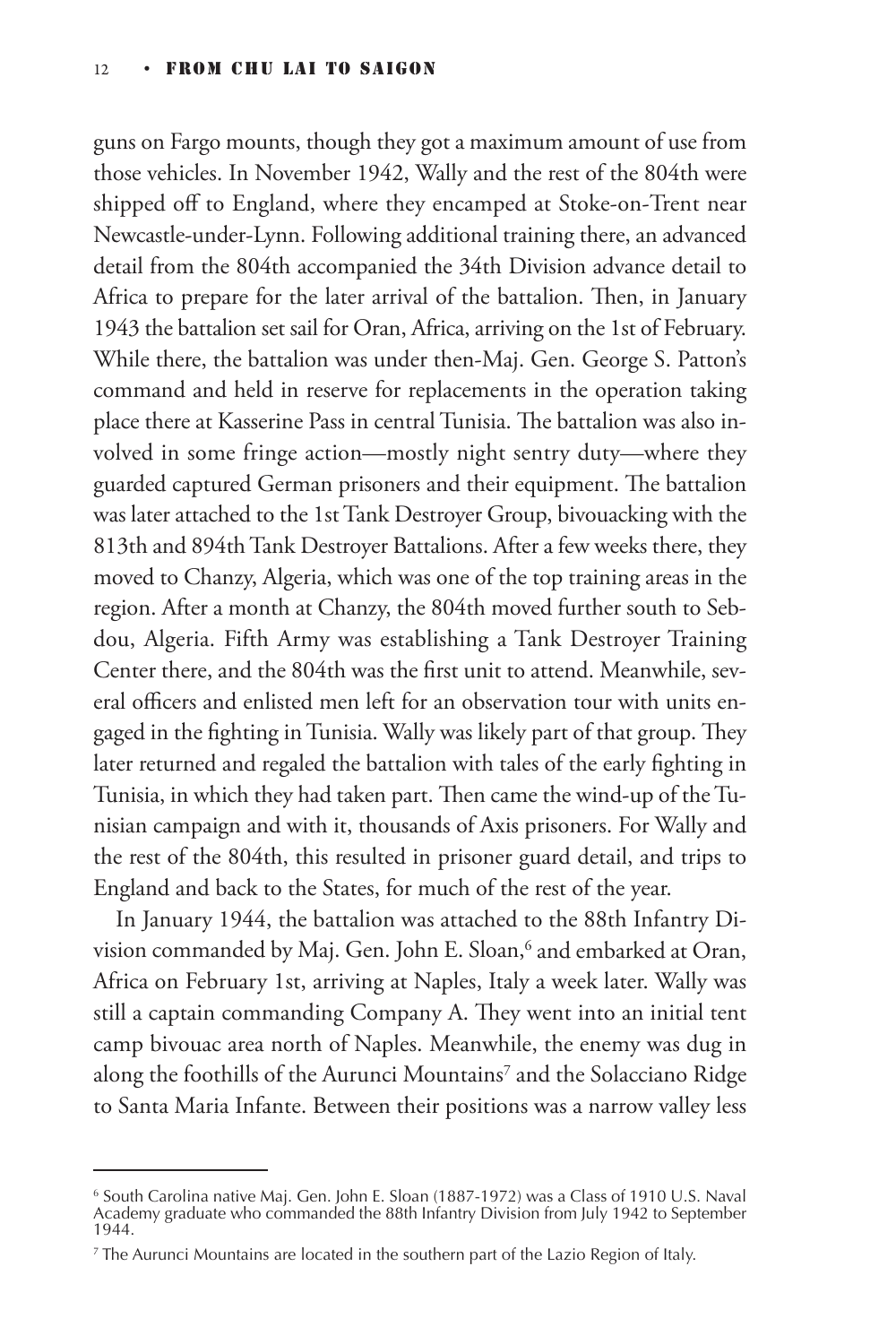guns on Fargo mounts, though they got a maximum amount of use from those vehicles. In November 1942, Wally and the rest of the 804th were shipped off to England, where they encamped at Stoke-on-Trent near Newcastle-under-Lynn. Following additional training there, an advanced detail from the 804th accompanied the 34th Division advance detail to Africa to prepare for the later arrival of the battalion. Then, in January 1943 the battalion set sail for Oran, Africa, arriving on the 1st of February. While there, the battalion was under then-Maj. Gen. George S. Patton's command and held in reserve for replacements in the operation taking place there at Kasserine Pass in central Tunisia. The battalion was also involved in some fringe action—mostly night sentry duty—where they guarded captured German prisoners and their equipment. The battalion was later attached to the 1st Tank Destroyer Group, bivouacking with the 813th and 894th Tank Destroyer Battalions. After a few weeks there, they moved to Chanzy, Algeria, which was one of the top training areas in the region. After a month at Chanzy, the 804th moved further south to Sebdou, Algeria. Fifth Army was establishing a Tank Destroyer Training Center there, and the 804th was the first unit to attend. Meanwhile, several officers and enlisted men left for an observation tour with units engaged in the fighting in Tunisia. Wally was likely part of that group. They later returned and regaled the battalion with tales of the early fighting in Tunisia, in which they had taken part. Then came the wind-up of the Tunisian campaign and with it, thousands of Axis prisoners. For Wally and the rest of the 804th, this resulted in prisoner guard detail, and trips to England and back to the States, for much of the rest of the year.

In January 1944, the battalion was attached to the 88th Infantry Division commanded by Maj. Gen. John E. Sloan,<sup>6</sup> and embarked at Oran, Africa on February 1st, arriving at Naples, Italy a week later. Wally was still a captain commanding Company A. They went into an initial tent camp bivouac area north of Naples. Meanwhile, the enemy was dug in along the foothills of the Aurunci Mountains<sup>7</sup> and the Solacciano Ridge to Santa Maria Infante. Between their positions was a narrow valley less

<sup>6</sup> South Carolina native Maj. Gen. John E. Sloan (1887-1972) was a Class of 1910 U.S. Naval Academy graduate who commanded the 88th Infantry Division from July 1942 to September 1944.

<sup>7</sup> The Aurunci Mountains are located in the southern part of the Lazio Region of Italy.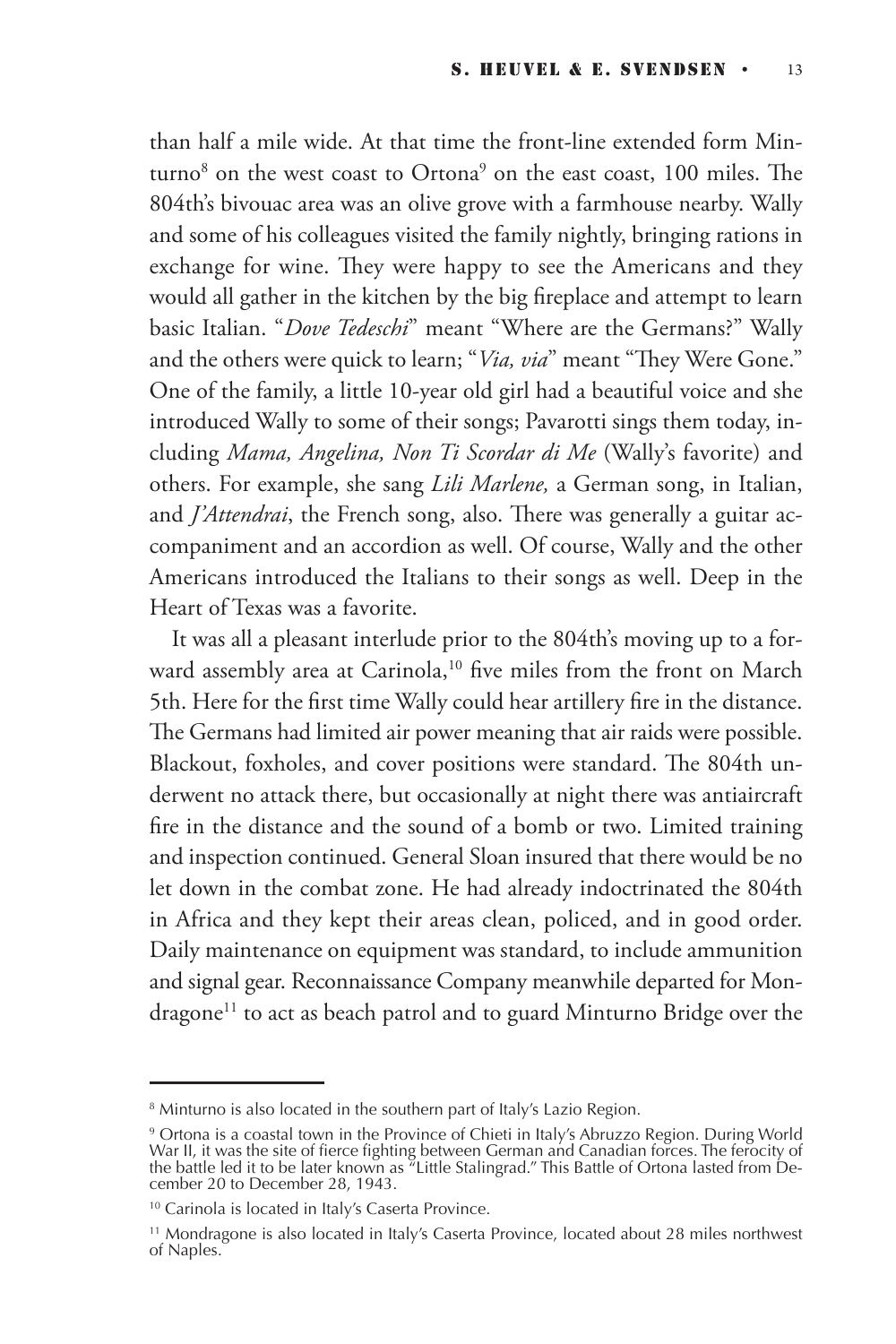than half a mile wide. At that time the front-line extended form Minturno $^8$  on the west coast to Ortona $^9$  on the east coast, 100 miles. The 804th's bivouac area was an olive grove with a farmhouse nearby. Wally and some of his colleagues visited the family nightly, bringing rations in exchange for wine. They were happy to see the Americans and they would all gather in the kitchen by the big fireplace and attempt to learn basic Italian. "*Dove Tedeschi*" meant "Where are the Germans?" Wally and the others were quick to learn; "*Via, via*" meant "They Were Gone." One of the family, a little 10-year old girl had a beautiful voice and she introduced Wally to some of their songs; Pavarotti sings them today, including *Mama, Angelina, Non Ti Scordar di Me* (Wally's favorite) and others. For example, she sang *Lili Marlene,* a German song, in Italian, and *J'Attendrai*, the French song, also. There was generally a guitar accompaniment and an accordion as well. Of course, Wally and the other Americans introduced the Italians to their songs as well. Deep in the Heart of Texas was a favorite.

It was all a pleasant interlude prior to the 804th's moving up to a forward assembly area at Carinola,<sup>10</sup> five miles from the front on March 5th. Here for the first time Wally could hear artillery fire in the distance. The Germans had limited air power meaning that air raids were possible. Blackout, foxholes, and cover positions were standard. The 804th underwent no attack there, but occasionally at night there was antiaircraft fire in the distance and the sound of a bomb or two. Limited training and inspection continued. General Sloan insured that there would be no let down in the combat zone. He had already indoctrinated the 804th in Africa and they kept their areas clean, policed, and in good order. Daily maintenance on equipment was standard, to include ammunition and signal gear. Reconnaissance Company meanwhile departed for Mondragone<sup>11</sup> to act as beach patrol and to guard Minturno Bridge over the

<sup>&</sup>lt;sup>8</sup> Minturno is also located in the southern part of Italy's Lazio Region.

<sup>&</sup>lt;sup>9</sup> Ortona is a coastal town in the Province of Chieti in Italy's Abruzzo Region. During World War II, it was the site of fierce fighting between German and Canadian forces. The ferocity of the battle led it to be later known as "Little Stalingrad." This Battle of Ortona lasted from December 20 to December 28, 1943.

<sup>&</sup>lt;sup>10</sup> Carinola is located in Italy's Caserta Province.

<sup>&</sup>lt;sup>11</sup> Mondragone is also located in Italy's Caserta Province, located about 28 miles northwest of Naples.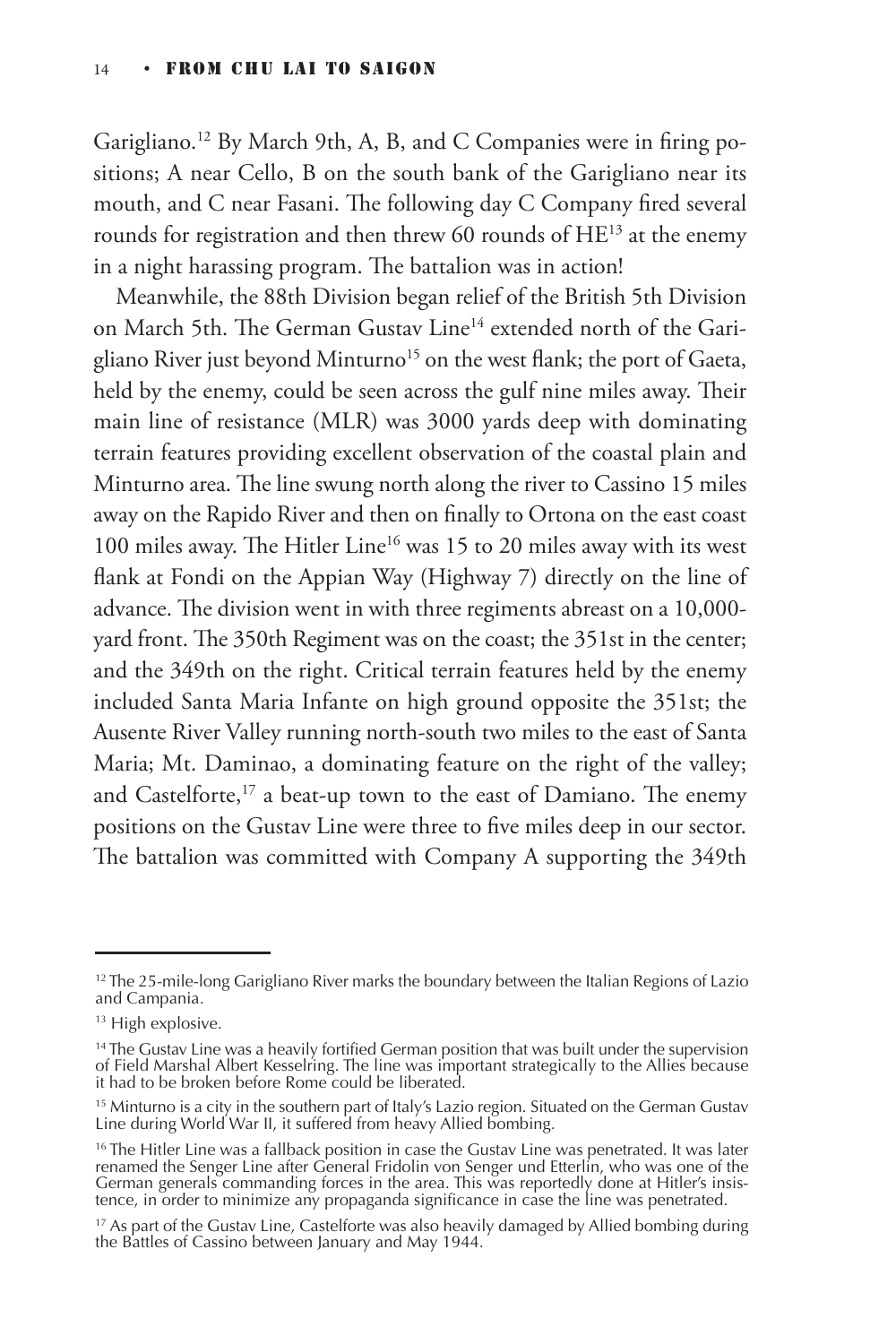Garigliano.<sup>12</sup> By March 9th, A, B, and C Companies were in firing positions; A near Cello, B on the south bank of the Garigliano near its mouth, and C near Fasani. The following day C Company fired several rounds for registration and then threw 60 rounds of  $HE^{13}$  at the enemy in a night harassing program. The battalion was in action!

Meanwhile, the 88th Division began relief of the British 5th Division on March 5th. The German Gustav Line<sup>14</sup> extended north of the Garigliano River just beyond Minturno<sup>15</sup> on the west flank; the port of Gaeta, held by the enemy, could be seen across the gulf nine miles away. Their main line of resistance (MLR) was 3000 yards deep with dominating terrain features providing excellent observation of the coastal plain and Minturno area. The line swung north along the river to Cassino 15 miles away on the Rapido River and then on finally to Ortona on the east coast 100 miles away. The Hitler Line<sup>16</sup> was 15 to 20 miles away with its west flank at Fondi on the Appian Way (Highway 7) directly on the line of advance. The division went in with three regiments abreast on a 10,000 yard front. The 350th Regiment was on the coast; the 351st in the center; and the 349th on the right. Critical terrain features held by the enemy included Santa Maria Infante on high ground opposite the 351st; the Ausente River Valley running north-south two miles to the east of Santa Maria; Mt. Daminao, a dominating feature on the right of the valley; and Castelforte,<sup>17</sup> a beat-up town to the east of Damiano. The enemy positions on the Gustav Line were three to five miles deep in our sector. The battalion was committed with Company A supporting the 349th

<sup>&</sup>lt;sup>12</sup> The 25-mile-long Garigliano River marks the boundary between the Italian Regions of Lazio and Campania.

<sup>&</sup>lt;sup>13</sup> High explosive.

<sup>&</sup>lt;sup>14</sup> The Gustav Line was a heavily fortified German position that was built under the supervision of Field Marshal Albert Kesselring. The line was important strategically to the Allies because it had to be broken before Rome could be liberated.

<sup>&</sup>lt;sup>15</sup> Minturno is a city in the southern part of Italy's Lazio region. Situated on the German Gustav Line during World War II, it suffered from heavy Allied bombing.

<sup>&</sup>lt;sup>16</sup> The Hitler Line was a fallback position in case the Gustav Line was penetrated. It was later renamed the Senger Line after General Fridolin von Senger und Etterlin, who was one of the German generals commanding forces in the area. This was reportedly done at Hitler's insistence, in order to minimize any propaganda significance in case the line was penetrated.

<sup>&</sup>lt;sup>17</sup> As part of the Gustav Line, Castelforte was also heavily damaged by Allied bombing during the Battles of Cassino between January and May 1944.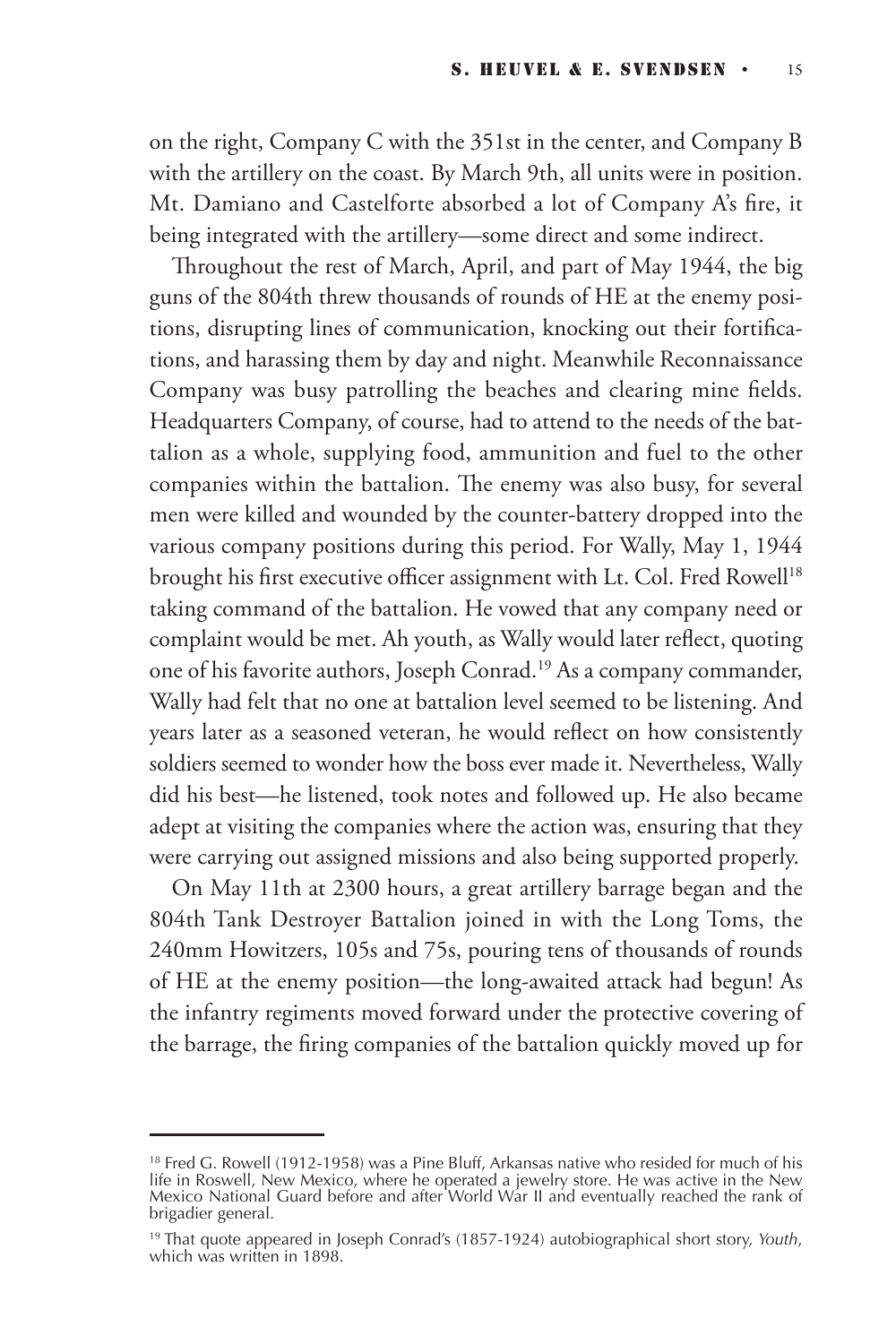on the right, Company C with the 351st in the center, and Company B with the artillery on the coast. By March 9th, all units were in position. Mt. Damiano and Castelforte absorbed a lot of Company A's fire, it being integrated with the artillery—some direct and some indirect.

Throughout the rest of March, April, and part of May 1944, the big guns of the 804th threw thousands of rounds of HE at the enemy positions, disrupting lines of communication, knocking out their fortifications, and harassing them by day and night. Meanwhile Reconnaissance Company was busy patrolling the beaches and clearing mine fields. Headquarters Company, of course, had to attend to the needs of the battalion as a whole, supplying food, ammunition and fuel to the other companies within the battalion. The enemy was also busy, for several men were killed and wounded by the counter-battery dropped into the various company positions during this period. For Wally, May 1, 1944 brought his first executive officer assignment with Lt. Col. Fred Rowell<sup>18</sup> taking command of the battalion. He vowed that any company need or complaint would be met. Ah youth, as Wally would later reflect, quoting one of his favorite authors, Joseph Conrad.19 As a company commander, Wally had felt that no one at battalion level seemed to be listening. And years later as a seasoned veteran, he would reflect on how consistently soldiers seemed to wonder how the boss ever made it. Nevertheless, Wally did his best—he listened, took notes and followed up. He also became adept at visiting the companies where the action was, ensuring that they were carrying out assigned missions and also being supported properly.

On May 11th at 2300 hours, a great artillery barrage began and the 804th Tank Destroyer Battalion joined in with the Long Toms, the 240mm Howitzers, 105s and 75s, pouring tens of thousands of rounds of HE at the enemy position—the long-awaited attack had begun! As the infantry regiments moved forward under the protective covering of the barrage, the firing companies of the battalion quickly moved up for

<sup>&</sup>lt;sup>18</sup> Fred G. Rowell (1912-1958) was a Pine Bluff, Arkansas native who resided for much of his life in Roswell, New Mexico, where he operated a jewelry store. He was active in the New Mexico National Guard before and after World War II and eventually reached the rank of brigadier general.

<sup>19</sup> That quote appeared in Joseph Conrad's (1857-1924) autobiographical short story, *Youth*, which was written in 1898.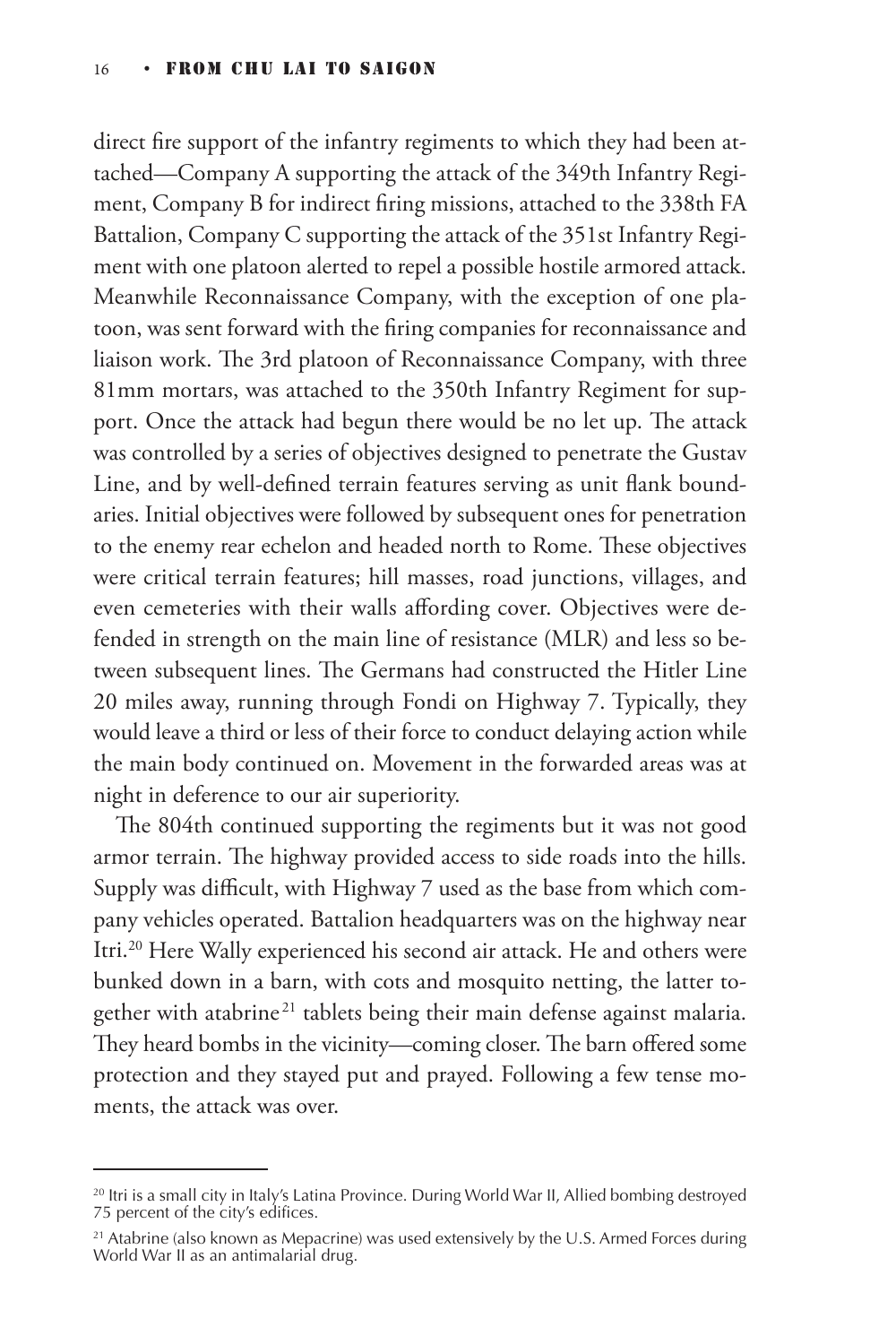direct fire support of the infantry regiments to which they had been attached—Company A supporting the attack of the 349th Infantry Regiment, Company B for indirect firing missions, attached to the 338th FA Battalion, Company C supporting the attack of the 351st Infantry Regiment with one platoon alerted to repel a possible hostile armored attack. Meanwhile Reconnaissance Company, with the exception of one platoon, was sent forward with the firing companies for reconnaissance and liaison work. The 3rd platoon of Reconnaissance Company, with three 81mm mortars, was attached to the 350th Infantry Regiment for support. Once the attack had begun there would be no let up. The attack was controlled by a series of objectives designed to penetrate the Gustav Line, and by well-defined terrain features serving as unit flank boundaries. Initial objectives were followed by subsequent ones for penetration to the enemy rear echelon and headed north to Rome. These objectives were critical terrain features; hill masses, road junctions, villages, and even cemeteries with their walls affording cover. Objectives were defended in strength on the main line of resistance (MLR) and less so between subsequent lines. The Germans had constructed the Hitler Line 20 miles away, running through Fondi on Highway 7. Typically, they would leave a third or less of their force to conduct delaying action while the main body continued on. Movement in the forwarded areas was at night in deference to our air superiority.

The 804th continued supporting the regiments but it was not good armor terrain. The highway provided access to side roads into the hills. Supply was difficult, with Highway 7 used as the base from which company vehicles operated. Battalion headquarters was on the highway near Itri.20 Here Wally experienced his second air attack. He and others were bunked down in a barn, with cots and mosquito netting, the latter together with atabrine<sup>21</sup> tablets being their main defense against malaria. They heard bombs in the vicinity—coming closer. The barn offered some protection and they stayed put and prayed. Following a few tense moments, the attack was over.

 $20$  Itri is a small city in Italy's Latina Province. During World War II, Allied bombing destroyed 75 percent of the city's edifices.

 $21$  Atabrine (also known as Mepacrine) was used extensively by the U.S. Armed Forces during World War II as an antimalarial drug.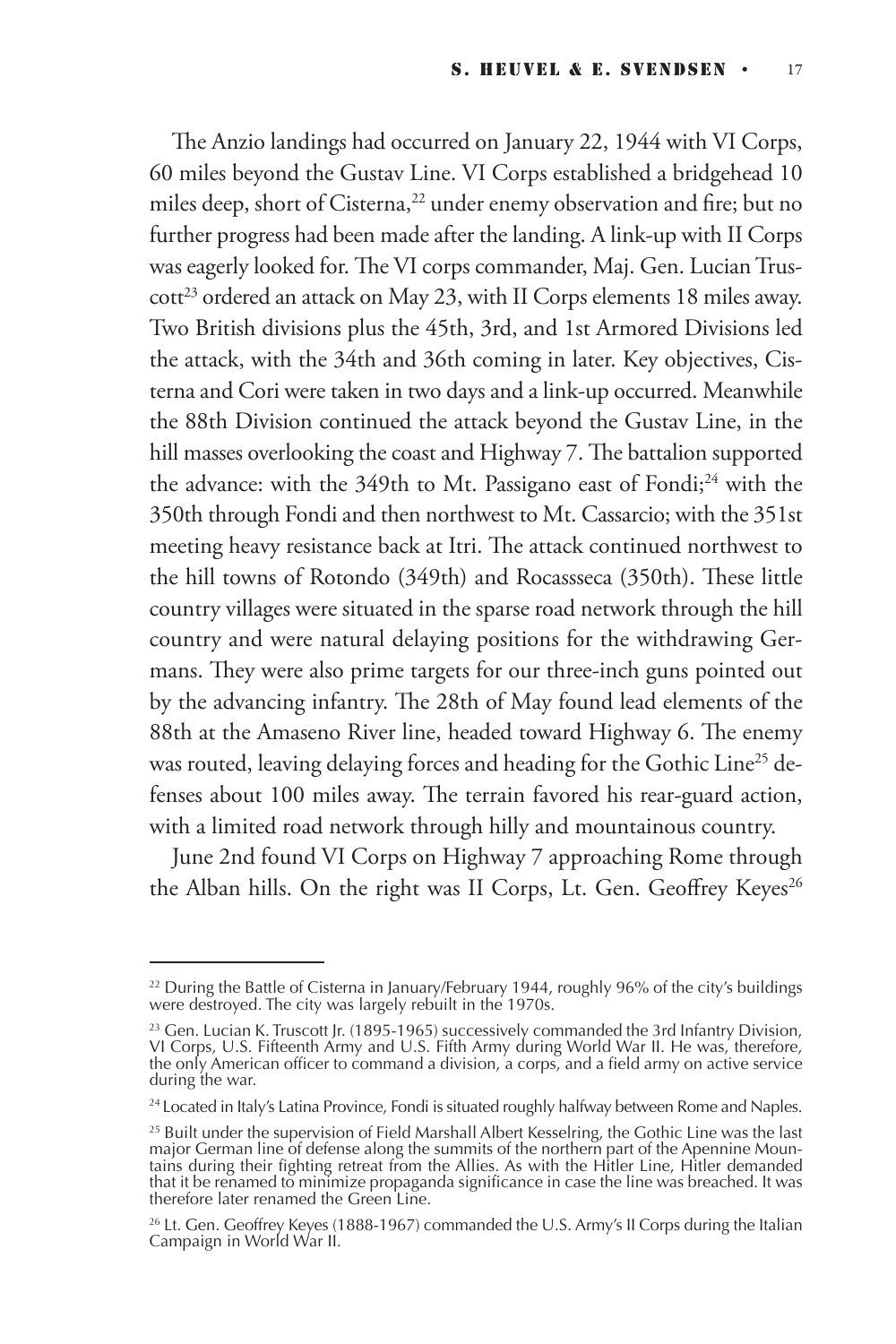The Anzio landings had occurred on January 22, 1944 with VI Corps, 60 miles beyond the Gustav Line. VI Corps established a bridgehead 10 miles deep, short of Cisterna,<sup>22</sup> under enemy observation and fire; but no further progress had been made after the landing. A link-up with II Corps was eagerly looked for. The VI corps commander, Maj. Gen. Lucian Trus- $\cot^{23}$  ordered an attack on May 23, with II Corps elements 18 miles away. Two British divisions plus the 45th, 3rd, and 1st Armored Divisions led the attack, with the 34th and 36th coming in later. Key objectives, Cisterna and Cori were taken in two days and a link-up occurred. Meanwhile the 88th Division continued the attack beyond the Gustav Line, in the hill masses overlooking the coast and Highway 7. The battalion supported the advance: with the  $349$ th to Mt. Passigano east of Fondi;<sup>24</sup> with the 350th through Fondi and then northwest to Mt. Cassarcio; with the 351st meeting heavy resistance back at Itri. The attack continued northwest to the hill towns of Rotondo (349th) and Rocassseca (350th). These little country villages were situated in the sparse road network through the hill country and were natural delaying positions for the withdrawing Germans. They were also prime targets for our three-inch guns pointed out by the advancing infantry. The 28th of May found lead elements of the 88th at the Amaseno River line, headed toward Highway 6. The enemy was routed, leaving delaying forces and heading for the Gothic Line<sup>25</sup> defenses about 100 miles away. The terrain favored his rear-guard action, with a limited road network through hilly and mountainous country.

June 2nd found VI Corps on Highway 7 approaching Rome through the Alban hills. On the right was II Corps, Lt. Gen. Geoffrey Keyes<sup>26</sup>

 $^{22}$  During the Battle of Cisterna in January/February 1944, roughly 96% of the city's buildings were destroyed. The city was largely rebuilt in the 1970s.

 $^{23}$  Gen. Lucian K. Truscott Jr. (1895-1965) successively commanded the 3rd Infantry Division, VI Corps, U.S. Fifteenth Army and U.S. Fifth Army during World War II. He was, therefore, the only American officer to command a division, a corps, and a field army on active service during the war.

<sup>&</sup>lt;sup>24</sup> Located in Italy's Latina Province, Fondi is situated roughly halfway between Rome and Naples.

 $^{25}$  Built under the supervision of Field Marshall Albert Kesselring, the Gothic Line was the last major German line of defense along the summits of the northern part of the Apennine Mountains during their fighting retreat from the Allies. As with the Hitler Line, Hitler demanded that it be renamed to minimize propaganda significance in case the line was breached. It was therefore later renamed the Green Line.

<sup>&</sup>lt;sup>26</sup> Lt. Gen. Geoffrey Keyes (1888-1967) commanded the U.S. Army's II Corps during the Italian Campaign in World War II.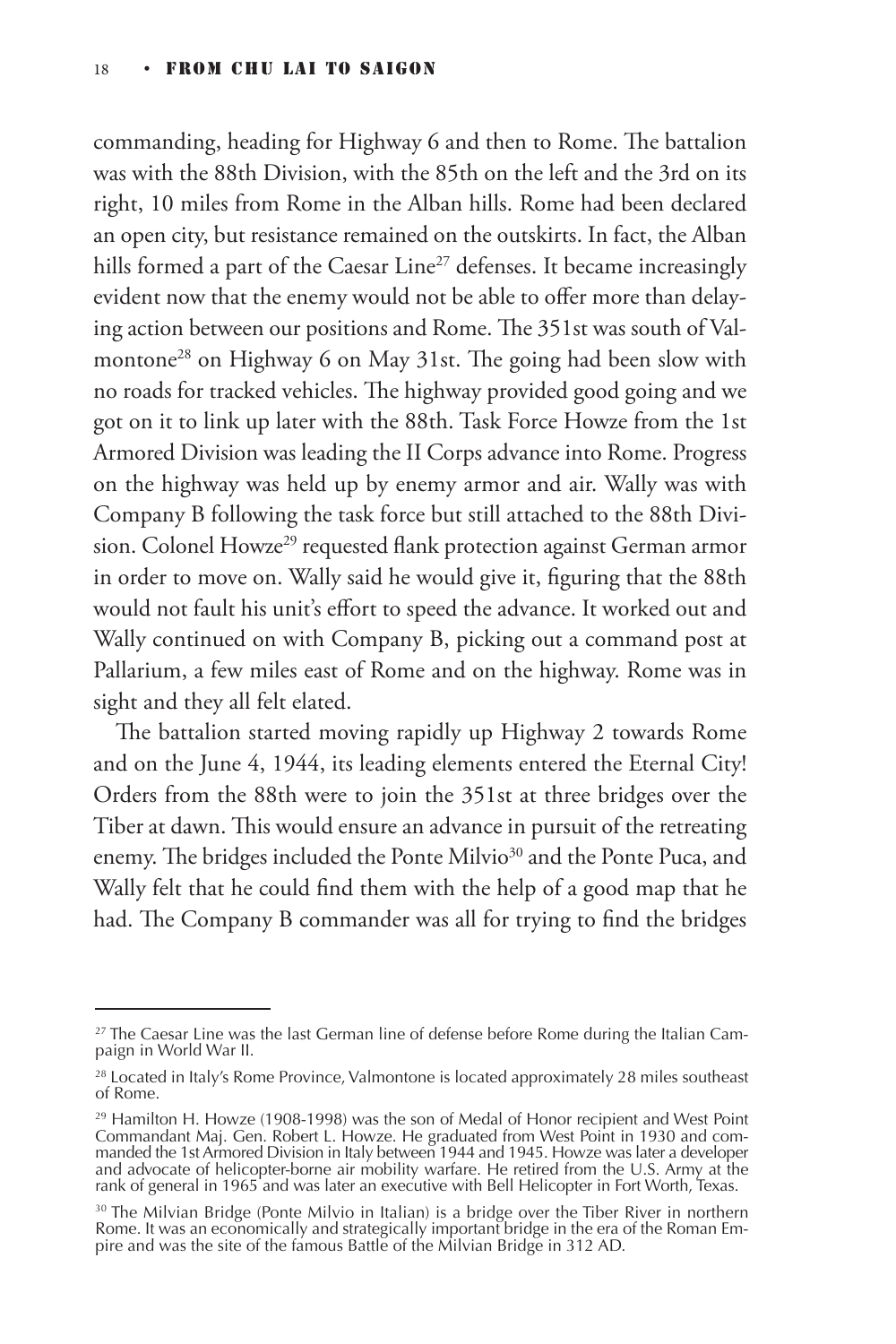commanding, heading for Highway 6 and then to Rome. The battalion was with the 88th Division, with the 85th on the left and the 3rd on its right, 10 miles from Rome in the Alban hills. Rome had been declared an open city, but resistance remained on the outskirts. In fact, the Alban hills formed a part of the Caesar  $\text{Line}^{27}$  defenses. It became increasingly evident now that the enemy would not be able to offer more than delaying action between our positions and Rome. The 351st was south of Valmontone<sup>28</sup> on Highway 6 on May 31st. The going had been slow with no roads for tracked vehicles. The highway provided good going and we got on it to link up later with the 88th. Task Force Howze from the 1st Armored Division was leading the II Corps advance into Rome. Progress on the highway was held up by enemy armor and air. Wally was with Company B following the task force but still attached to the 88th Division. Colonel Howze<sup>29</sup> requested flank protection against German armor in order to move on. Wally said he would give it, figuring that the 88th would not fault his unit's effort to speed the advance. It worked out and Wally continued on with Company B, picking out a command post at Pallarium, a few miles east of Rome and on the highway. Rome was in sight and they all felt elated.

The battalion started moving rapidly up Highway 2 towards Rome and on the June 4, 1944, its leading elements entered the Eternal City! Orders from the 88th were to join the 351st at three bridges over the Tiber at dawn. This would ensure an advance in pursuit of the retreating enemy. The bridges included the Ponte Milvio<sup>30</sup> and the Ponte Puca, and Wally felt that he could find them with the help of a good map that he had. The Company B commander was all for trying to find the bridges

 $27$  The Caesar Line was the last German line of defense before Rome during the Italian Campaign in World War II.

<sup>&</sup>lt;sup>28</sup> Located in Italy's Rome Province, Valmontone is located approximately 28 miles southeast of Rome.

<sup>&</sup>lt;sup>29</sup> Hamilton H. Howze (1908-1998) was the son of Medal of Honor recipient and West Point Commandant Maj. Gen. Robert L. Howze. He graduated from West Point in 1930 and commanded the 1st Armored Division in Italy between 1944 and 1945. Howze was later a developer and advocate of helicopter-borne air mobility warfare. He retired from the U.S. Army at the rank of general in 1965 and was later an executive with Bell Helicopter in Fort Worth, Texas.

 $30$  The Milvian Bridge (Ponte Milvio in Italian) is a bridge over the Tiber River in northern Rome. It was an economically and strategically important bridge in the era of the Roman Empire and was the site of the famous Battle of the Milvian Bridge in 312 AD.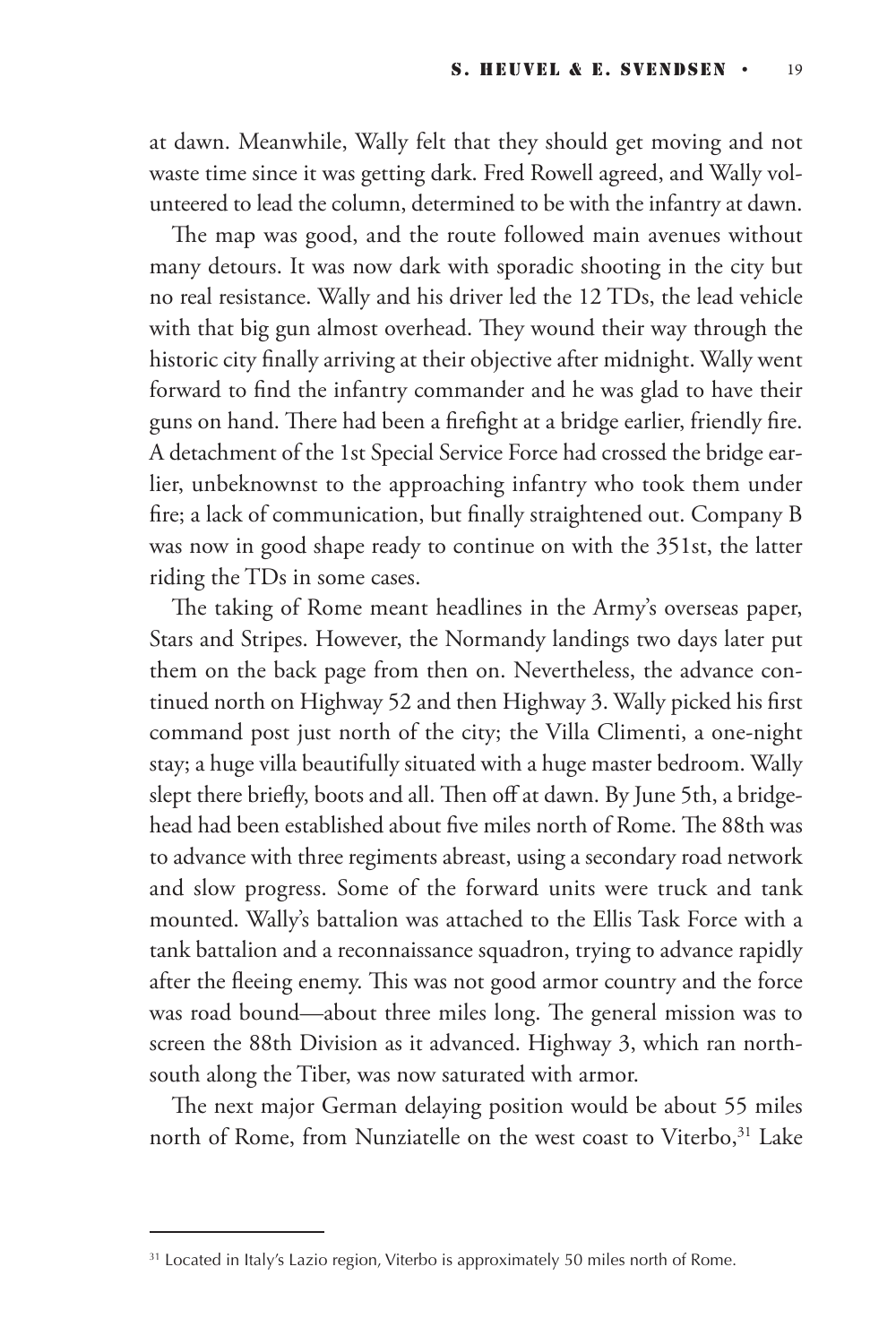at dawn. Meanwhile, Wally felt that they should get moving and not waste time since it was getting dark. Fred Rowell agreed, and Wally volunteered to lead the column, determined to be with the infantry at dawn.

The map was good, and the route followed main avenues without many detours. It was now dark with sporadic shooting in the city but no real resistance. Wally and his driver led the 12 TDs, the lead vehicle with that big gun almost overhead. They wound their way through the historic city finally arriving at their objective after midnight. Wally went forward to find the infantry commander and he was glad to have their guns on hand. There had been a firefight at a bridge earlier, friendly fire. A detachment of the 1st Special Service Force had crossed the bridge earlier, unbeknownst to the approaching infantry who took them under fire; a lack of communication, but finally straightened out. Company B was now in good shape ready to continue on with the 351st, the latter riding the TDs in some cases.

The taking of Rome meant headlines in the Army's overseas paper, Stars and Stripes. However, the Normandy landings two days later put them on the back page from then on. Nevertheless, the advance continued north on Highway 52 and then Highway 3. Wally picked his first command post just north of the city; the Villa Climenti, a one-night stay; a huge villa beautifully situated with a huge master bedroom. Wally slept there briefly, boots and all. Then off at dawn. By June 5th, a bridgehead had been established about five miles north of Rome. The 88th was to advance with three regiments abreast, using a secondary road network and slow progress. Some of the forward units were truck and tank mounted. Wally's battalion was attached to the Ellis Task Force with a tank battalion and a reconnaissance squadron, trying to advance rapidly after the fleeing enemy. This was not good armor country and the force was road bound—about three miles long. The general mission was to screen the 88th Division as it advanced. Highway 3, which ran northsouth along the Tiber, was now saturated with armor.

The next major German delaying position would be about 55 miles north of Rome, from Nunziatelle on the west coast to Viterbo,<sup>31</sup> Lake

<sup>&</sup>lt;sup>31</sup> Located in Italy's Lazio region, Viterbo is approximately 50 miles north of Rome.